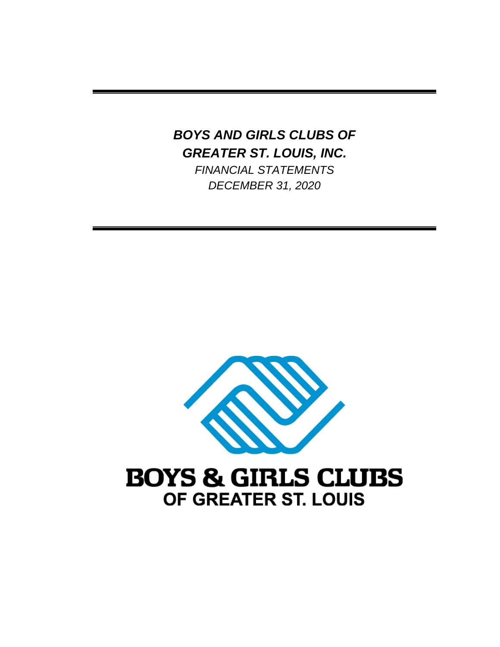*FINANCIAL STATEMENTS DECEMBER 31, 2020* 



# OF GREATER ST. LOUIS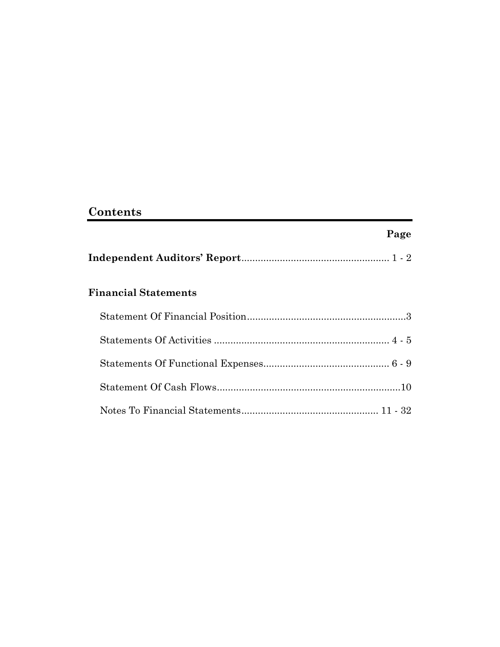# **Contents**

# **Page**

|--|--|

# **Financial Statements**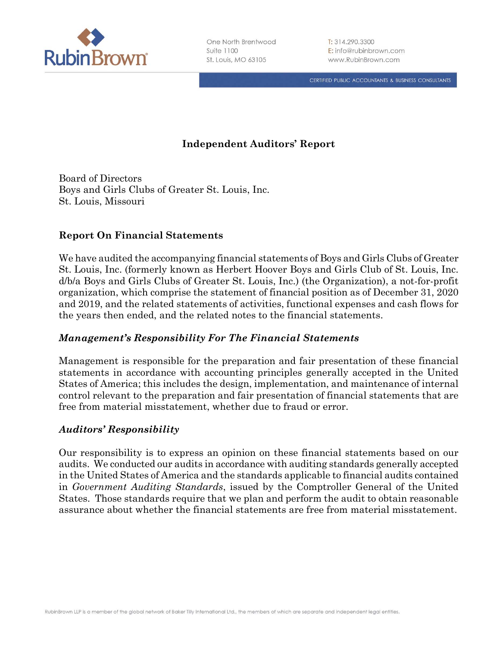

CERTIFIED PUBLIC ACCOUNTANTS & BUSINESS CONSULTANTS

## **Independent Auditors' Report**

Board of Directors Boys and Girls Clubs of Greater St. Louis, Inc. St. Louis, Missouri

#### **Report On Financial Statements**

We have audited the accompanying financial statements of Boys and Girls Clubs of Greater St. Louis, Inc. (formerly known as Herbert Hoover Boys and Girls Club of St. Louis, Inc. d/b/a Boys and Girls Clubs of Greater St. Louis, Inc.) (the Organization), a not-for-profit organization, which comprise the statement of financial position as of December 31, 2020 and 2019, and the related statements of activities, functional expenses and cash flows for the years then ended, and the related notes to the financial statements.

#### *Management's Responsibility For The Financial Statements*

Management is responsible for the preparation and fair presentation of these financial statements in accordance with accounting principles generally accepted in the United States of America; this includes the design, implementation, and maintenance of internal control relevant to the preparation and fair presentation of financial statements that are free from material misstatement, whether due to fraud or error.

#### *Auditors' Responsibility*

Our responsibility is to express an opinion on these financial statements based on our audits. We conducted our audits in accordance with auditing standards generally accepted in the United States of America and the standards applicable to financial audits contained in *Government Auditing Standards*, issued by the Comptroller General of the United States. Those standards require that we plan and perform the audit to obtain reasonable assurance about whether the financial statements are free from material misstatement.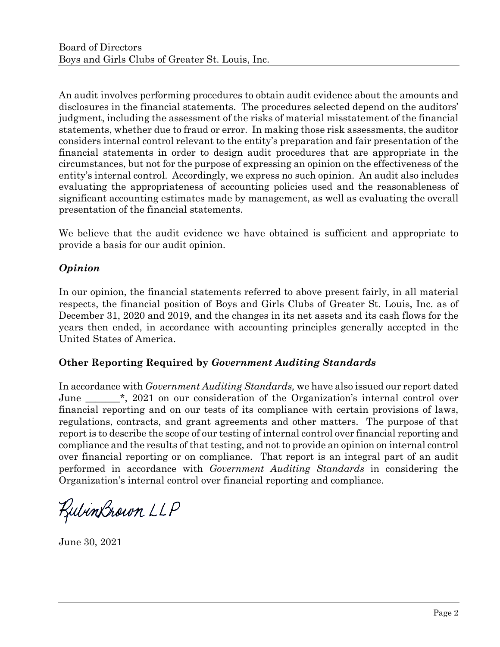An audit involves performing procedures to obtain audit evidence about the amounts and disclosures in the financial statements. The procedures selected depend on the auditors' judgment, including the assessment of the risks of material misstatement of the financial statements, whether due to fraud or error. In making those risk assessments, the auditor considers internal control relevant to the entity's preparation and fair presentation of the financial statements in order to design audit procedures that are appropriate in the circumstances, but not for the purpose of expressing an opinion on the effectiveness of the entity's internal control. Accordingly, we express no such opinion. An audit also includes evaluating the appropriateness of accounting policies used and the reasonableness of significant accounting estimates made by management, as well as evaluating the overall presentation of the financial statements.

We believe that the audit evidence we have obtained is sufficient and appropriate to provide a basis for our audit opinion.

## *Opinion*

In our opinion, the financial statements referred to above present fairly, in all material respects, the financial position of Boys and Girls Clubs of Greater St. Louis, Inc. as of December 31, 2020 and 2019, and the changes in its net assets and its cash flows for the years then ended, in accordance with accounting principles generally accepted in the United States of America.

## **Other Reporting Required by** *Government Auditing Standards*

In accordance with *Government Auditing Standards,* we have also issued our report dated June \_\_\_\_\_\_\_\*, 2021 on our consideration of the Organization's internal control over financial reporting and on our tests of its compliance with certain provisions of laws, regulations, contracts, and grant agreements and other matters. The purpose of that report is to describe the scope of our testing of internal control over financial reporting and compliance and the results of that testing, and not to provide an opinion on internal control over financial reporting or on compliance. That report is an integral part of an audit performed in accordance with *Government Auditing Standards* in considering the Organization's internal control over financial reporting and compliance.

KubinBrown LLP

June 30, 2021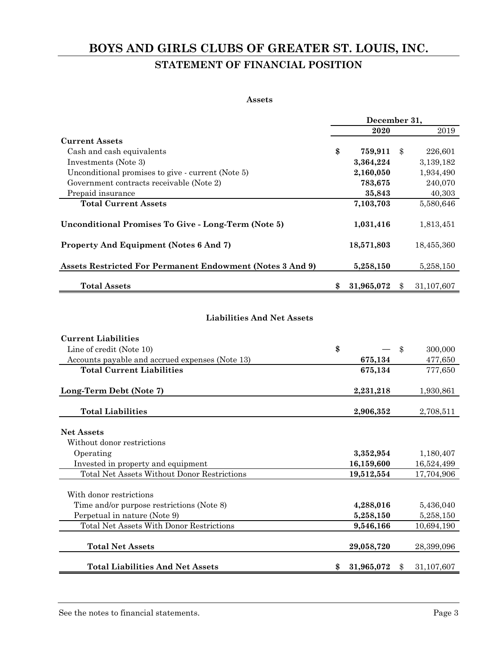# **BOYS AND GIRLS CLUBS OF GREATER ST. LOUIS, INC. STATEMENT OF FINANCIAL POSITION**

#### **Assets**

|                                                                  | December 31,     |     |            |
|------------------------------------------------------------------|------------------|-----|------------|
|                                                                  | 2020             |     | 2019       |
| <b>Current Assets</b>                                            |                  |     |            |
| Cash and cash equivalents                                        | \$<br>759,911    | \$. | 226,601    |
| Investments (Note 3)                                             | 3,364,224        |     | 3,139,182  |
| Unconditional promises to give - current (Note 5)                | 2,160,050        |     | 1,934,490  |
| Government contracts receivable (Note 2)                         | 783,675          |     | 240,070    |
| Prepaid insurance                                                | 35,843           |     | 40,303     |
| <b>Total Current Assets</b>                                      | 7,103,703        |     | 5,580,646  |
| <b>Unconditional Promises To Give - Long-Term (Note 5)</b>       | 1,031,416        |     | 1,813,451  |
| <b>Property And Equipment (Notes 6 And 7)</b>                    | 18,571,803       |     | 18,455,360 |
| <b>Assets Restricted For Permanent Endowment (Notes 3 And 9)</b> | 5,258,150        |     | 5,258,150  |
| <b>Total Assets</b>                                              | \$<br>31,965,072 |     | 31,107,607 |

#### **Liabilities And Net Assets**

| <b>Current Liabilities</b>                         |                  |     |            |
|----------------------------------------------------|------------------|-----|------------|
| Line of credit (Note 10)                           | \$               | -\$ | 300,000    |
| Accounts payable and accrued expenses (Note 13)    | 675,134          |     | 477,650    |
| <b>Total Current Liabilities</b>                   | 675,134          |     | 777,650    |
| Long-Term Debt (Note 7)                            | 2,231,218        |     | 1,930,861  |
| <b>Total Liabilities</b>                           | 2,906,352        |     | 2,708,511  |
| <b>Net Assets</b>                                  |                  |     |            |
| Without donor restrictions                         |                  |     |            |
| Operating                                          | 3,352,954        |     | 1,180,407  |
| Invested in property and equipment                 | 16,159,600       |     | 16,524,499 |
| <b>Total Net Assets Without Donor Restrictions</b> | 19,512,554       |     | 17,704,906 |
| With donor restrictions                            |                  |     |            |
| Time and/or purpose restrictions (Note 8)          | 4,288,016        |     | 5,436,040  |
| Perpetual in nature (Note 9)                       | 5,258,150        |     | 5,258,150  |
| <b>Total Net Assets With Donor Restrictions</b>    | 9,546,166        |     | 10,694,190 |
| <b>Total Net Assets</b>                            | 29,058,720       |     | 28,399,096 |
| <b>Total Liabilities And Net Assets</b>            | 31,965,072<br>\$ | \$  | 31,107,607 |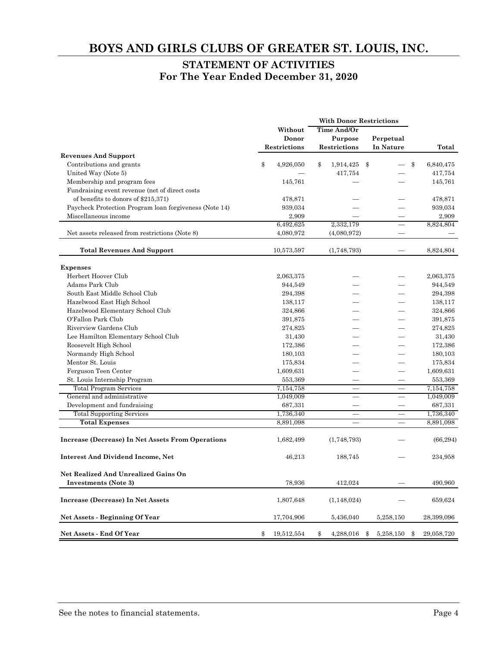#### **STATEMENT OF ACTIVITIES For The Year Ended December 31, 2020**

|                                                          | <b>With Donor Restrictions</b> |              |    |                          |  |           |    |            |
|----------------------------------------------------------|--------------------------------|--------------|----|--------------------------|--|-----------|----|------------|
|                                                          |                                | Without      |    | Time And/Or              |  |           |    |            |
|                                                          |                                | Donor        |    | Purpose                  |  | Perpetual |    |            |
|                                                          |                                | Restrictions |    | Restrictions             |  | In Nature |    | Total      |
| <b>Revenues And Support</b>                              |                                |              |    |                          |  |           |    |            |
| Contributions and grants                                 | $\frac{1}{2}$                  | 4,926,050    | \$ | $1,914,425$ \$           |  |           | \$ | 6,840,475  |
| United Way (Note 5)                                      |                                |              |    | 417,754                  |  |           |    | 417,754    |
| Membership and program fees                              |                                | 145,761      |    |                          |  |           |    | 145,761    |
| Fundraising event revenue (net of direct costs           |                                |              |    |                          |  |           |    |            |
| of benefits to donors of \$215,371)                      |                                | 478,871      |    |                          |  |           |    | 478,871    |
| Paycheck Protection Program loan forgiveness (Note 14)   |                                | 939,034      |    |                          |  |           |    | 939,034    |
| Miscellaneous income                                     |                                | 2,909        |    |                          |  |           |    | 2,909      |
|                                                          |                                | 6,492,625    |    | 2,332,179                |  |           |    | 8,824,804  |
| Net assets released from restrictions (Note 8)           |                                | 4,080,972    |    | (4,080,972)              |  |           |    |            |
| <b>Total Revenues And Support</b>                        |                                | 10,573,597   |    | (1,748,793)              |  |           |    | 8,824,804  |
| <b>Expenses</b>                                          |                                |              |    |                          |  |           |    |            |
| Herbert Hoover Club                                      |                                | 2,063,375    |    |                          |  |           |    | 2,063,375  |
| Adams Park Club                                          |                                | 944,549      |    |                          |  |           |    | 944,549    |
| South East Middle School Club                            |                                | 294,398      |    |                          |  |           |    | 294,398    |
| Hazelwood East High School                               |                                | 138,117      |    |                          |  |           |    | 138,117    |
| Hazelwood Elementary School Club                         |                                | 324,866      |    |                          |  |           |    | 324,866    |
| O'Fallon Park Club                                       |                                | 391,875      |    |                          |  |           |    | 391,875    |
| Riverview Gardens Club                                   |                                | 274,825      |    |                          |  |           |    | 274,825    |
| Lee Hamilton Elementary School Club                      |                                | 31,430       |    |                          |  |           |    | 31,430     |
| Roosevelt High School                                    |                                | 172,386      |    |                          |  |           |    | 172,386    |
| Normandy High School                                     |                                | 180,103      |    |                          |  |           |    | 180,103    |
| Mentor St. Louis                                         |                                | 175,834      |    |                          |  |           |    | 175,834    |
| Ferguson Teen Center                                     |                                | 1,609,631    |    |                          |  |           |    | 1,609,631  |
| St. Louis Internship Program                             |                                | 553,369      |    |                          |  |           |    | 553,369    |
| <b>Total Program Services</b>                            |                                | 7,154,758    |    |                          |  |           |    | 7,154,758  |
| General and administrative                               |                                | 1,049,009    |    | $\overline{\phantom{0}}$ |  |           |    | 1,049,009  |
| Development and fundraising                              |                                | 687,331      |    |                          |  |           |    | 687,331    |
| <b>Total Supporting Services</b>                         |                                | 1,736,340    |    |                          |  |           |    | 1,736,340  |
| <b>Total Expenses</b>                                    |                                | 8,891,098    |    |                          |  |           |    | 8,891,098  |
| <b>Increase (Decrease) In Net Assets From Operations</b> |                                | 1,682,499    |    | (1,748,793)              |  |           |    | (66, 294)  |
| <b>Interest And Dividend Income, Net</b>                 |                                | 46,213       |    | 188,745                  |  |           |    | 234,958    |
| Net Realized And Unrealized Gains On                     |                                |              |    |                          |  |           |    |            |
| <b>Investments (Note 3)</b>                              |                                | 78,936       |    | 412,024                  |  |           |    | 490,960    |
| Increase (Decrease) In Net Assets                        |                                | 1,807,648    |    | (1,148,024)              |  |           |    | 659,624    |
| Net Assets - Beginning Of Year                           |                                | 17,704,906   |    | 5,436,040                |  | 5,258,150 |    | 28,399,096 |
| Net Assets - End Of Year                                 | \$                             | 19,512,554   | \$ | $4,288,016$ \$           |  | 5,258,150 | \$ | 29,058,720 |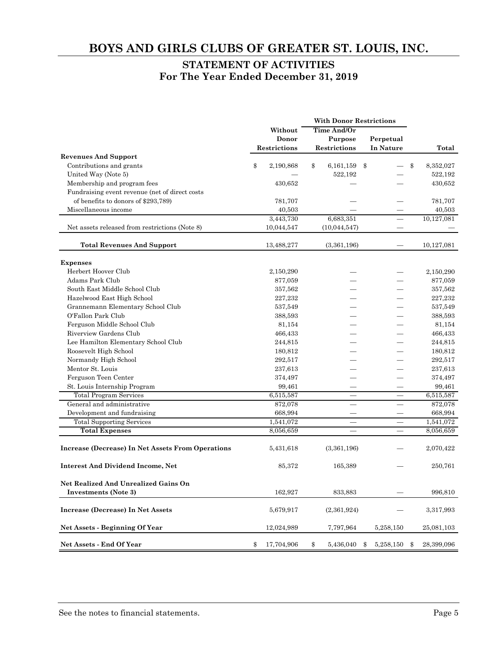#### **STATEMENT OF ACTIVITIES For The Year Ended December 31, 2019**

|                                                          |                  | <b>With Donor Restrictions</b> |                 |                          |            |
|----------------------------------------------------------|------------------|--------------------------------|-----------------|--------------------------|------------|
|                                                          | Without          | Time And/Or                    |                 |                          |            |
|                                                          | Donor            | Purpose                        | Perpetual       |                          |            |
|                                                          | Restrictions     | <b>Restrictions</b>            | In Nature       |                          | Total      |
| <b>Revenues And Support</b>                              |                  |                                |                 |                          |            |
| Contributions and grants                                 | \$<br>2,190,868  | \$<br>6,161,159                | \$              | \$                       | 8,352,027  |
| United Way (Note 5)                                      |                  | 522,192                        |                 |                          | 522,192    |
| Membership and program fees                              | 430,652          |                                |                 |                          | 430,652    |
| Fundraising event revenue (net of direct costs           |                  |                                |                 |                          |            |
| of benefits to donors of \$293,789)                      | 781,707          |                                |                 |                          | 781,707    |
| Miscellaneous income                                     | 40,503           |                                |                 |                          | 40,503     |
|                                                          | 3,443,730        | 6,683,351                      |                 | $\overline{\phantom{0}}$ | 10,127,081 |
| Net assets released from restrictions (Note 8)           | 10,044,547       | (10,044,547)                   |                 |                          |            |
| <b>Total Revenues And Support</b>                        | 13,488,277       | (3,361,196)                    |                 |                          | 10,127,081 |
| <b>Expenses</b>                                          |                  |                                |                 |                          |            |
| Herbert Hoover Club                                      | 2,150,290        |                                |                 |                          | 2,150,290  |
| Adams Park Club                                          | 877,059          |                                |                 |                          | 877,059    |
| South East Middle School Club                            | 357,562          |                                |                 |                          | 357,562    |
| Hazelwood East High School                               | 227,232          |                                |                 |                          | 227,232    |
| Grannemann Elementary School Club                        | 537,549          |                                |                 |                          | 537,549    |
| O'Fallon Park Club                                       | 388,593          |                                |                 |                          | 388,593    |
| Ferguson Middle School Club                              | 81,154           |                                |                 |                          | 81,154     |
| Riverview Gardens Club                                   | 466,433          |                                |                 |                          | 466,433    |
| Lee Hamilton Elementary School Club                      | 244,815          |                                |                 |                          | 244,815    |
| Roosevelt High School                                    | 180,812          |                                |                 |                          | 180,812    |
| Normandy High School                                     | 292,517          |                                |                 |                          | 292,517    |
| Mentor St. Louis                                         | 237,613          |                                |                 |                          | 237,613    |
| Ferguson Teen Center                                     | 374,497          |                                |                 |                          | 374,497    |
| St. Louis Internship Program                             | 99,461           |                                |                 |                          | 99,461     |
| <b>Total Program Services</b>                            | 6,515,587        |                                |                 |                          | 6,515,587  |
| General and administrative                               | 872,078          |                                |                 |                          | 872,078    |
| Development and fundraising                              | 668,994          |                                |                 |                          | 668,994    |
| <b>Total Supporting Services</b>                         | 1,541,072        |                                |                 |                          | 1,541,072  |
| <b>Total Expenses</b>                                    | 8,056,659        |                                |                 | $\overline{\phantom{0}}$ | 8,056,659  |
| <b>Increase (Decrease) In Net Assets From Operations</b> | 5,431,618        | (3,361,196)                    |                 |                          | 2,070,422  |
| <b>Interest And Dividend Income, Net</b>                 | 85,372           | 165,389                        |                 |                          | 250,761    |
| Net Realized And Unrealized Gains On                     |                  |                                |                 |                          |            |
| Investments (Note 3)                                     | 162,927          | 833,883                        |                 |                          | 996,810    |
| Increase (Decrease) In Net Assets                        | 5,679,917        | (2,361,924)                    |                 |                          | 3,317,993  |
| Net Assets - Beginning Of Year                           | 12,024,989       | 7,797,964                      | 5,258,150       |                          | 25,081,103 |
| Net Assets - End Of Year                                 | \$<br>17,704,906 | \$<br>5,436,040                | 5,258,150<br>\$ | \$                       | 28,399,096 |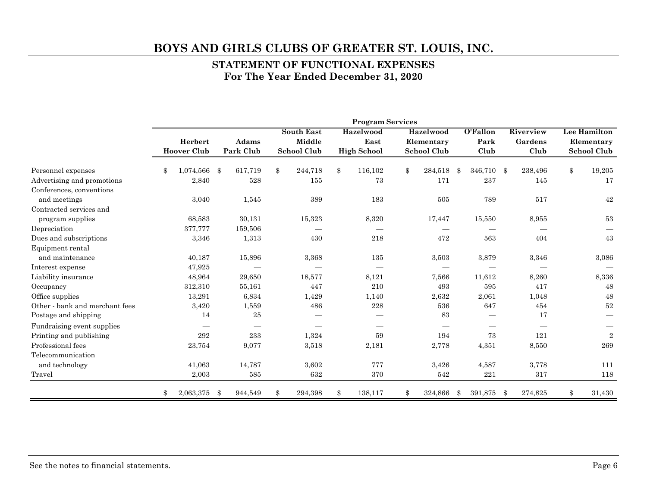#### **STATEMENT OF FUNCTIONAL EXPENSES For The Year Ended December 31, 2020**

|                                |                    |                |                          | <b>Program Services</b> |                    |                             |           |                 |  |
|--------------------------------|--------------------|----------------|--------------------------|-------------------------|--------------------|-----------------------------|-----------|-----------------|--|
|                                |                    |                | <b>South East</b>        | Hazelwood               | Hazelwood          | O'Fallon                    | Riverview | Lee Hamilton    |  |
|                                | Herbert            | <b>Adams</b>   | Middle                   | East                    | Elementary         | Park                        | Gardens   | Elementary      |  |
|                                | <b>Hoover Club</b> | Park Club      | <b>School Club</b>       | <b>High School</b>      | <b>School Club</b> | Club                        | Club      | School Club     |  |
| Personnel expenses             | 1,074,566 \$<br>\$ | 617,719        | \$<br>244,718            | \$<br>116,102           | \$<br>284,518      | 346,710 \$<br>$\mathbf{\$}$ | 238,496   | $\$\$<br>19,205 |  |
| Advertising and promotions     | 2,840              | 528            | 155                      | 73                      | 171                | 237                         | 145       | 17              |  |
| Conferences, conventions       |                    |                |                          |                         |                    |                             |           |                 |  |
| and meetings                   | 3,040              | 1,545          | 389                      | 183                     | 505                | 789                         | 517       | $42\,$          |  |
| Contracted services and        |                    |                |                          |                         |                    |                             |           |                 |  |
| program supplies               | 68,583             | 30,131         | 15,323                   | 8,320                   | 17,447             | 15,550                      | 8,955     | 53              |  |
| Depreciation                   | 377,777            | 159,506        |                          |                         |                    |                             |           |                 |  |
| Dues and subscriptions         | 3,346              | 1,313          | 430                      | 218                     | 472                | 563                         | 404       | 43              |  |
| Equipment rental               |                    |                |                          |                         |                    |                             |           |                 |  |
| and maintenance                | 40,187             | 15,896         | 3,368                    | 135                     | 3,503              | 3,879                       | 3,346     | 3,086           |  |
| Interest expense               | 47,925             |                |                          |                         |                    |                             |           |                 |  |
| Liability insurance            | 48,964             | 29,650         | 18,577                   | 8,121                   | 7,566              | 11,612                      | 8,260     | 8,336           |  |
| Occupancy                      | 312,310            | 55,161         | 447                      | 210                     | 493                | 595                         | 417       | 48              |  |
| Office supplies                | 13,291             | 6,834          | 1,429                    | 1,140                   | 2,632              | 2,061                       | 1,048     | 48              |  |
| Other - bank and merchant fees | 3,420              | 1,559          | 486                      | $228\,$                 | 536                | 647                         | 454       | $52\,$          |  |
| Postage and shipping           | 14                 | 25             |                          |                         | 83                 |                             | 17        |                 |  |
| Fundraising event supplies     |                    |                |                          |                         |                    |                             |           |                 |  |
| Printing and publishing        | 292                | 233            | 1,324                    | 59                      | 194                | 73                          | 121       | $\overline{2}$  |  |
| Professional fees              | 23,754             | 9,077          | 3,518                    | 2,181                   | 2,778              | 4,351                       | 8,550     | 269             |  |
| Telecommunication              |                    |                |                          |                         |                    |                             |           |                 |  |
| and technology                 | 41,063             | 14,787         | 3,602                    | 777                     | 3.426              | 4,587                       | 3,778     | 111             |  |
| Travel                         | 2,003              | 585            | 632                      | 370                     | 542                | 221                         | 317       | 118             |  |
|                                | 2,063,375<br>\$    | 944,549<br>-\$ | $\mathcal{S}$<br>294,398 | \$<br>138,117           | \$<br>324,866      | 391,875 \$<br>-\$           | 274,825   | \$<br>31,430    |  |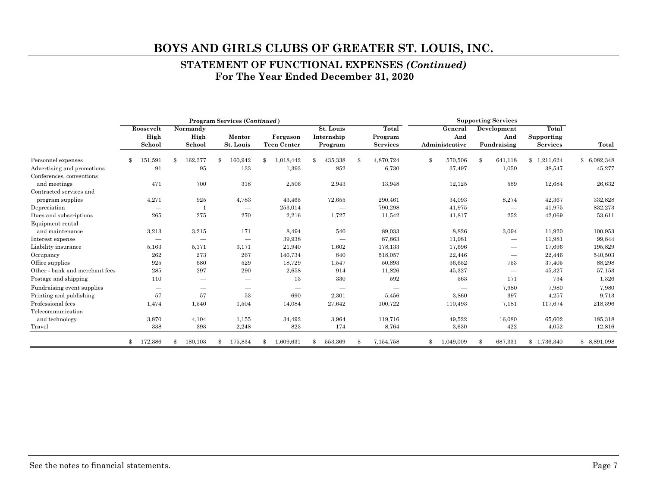## **STATEMENT OF FUNCTIONAL EXPENSES** *(Continued)*  **For The Year Ended December 31, 2020**

|                                |                             |     |                            |                | <b>Program Services (Continued)</b> |    |                                |                |                                    |                                     |    |                                  |                                   |                                        |              |       |
|--------------------------------|-----------------------------|-----|----------------------------|----------------|-------------------------------------|----|--------------------------------|----------------|------------------------------------|-------------------------------------|----|----------------------------------|-----------------------------------|----------------------------------------|--------------|-------|
|                                | Roosevelt<br>High<br>School |     | Normandy<br>High<br>School |                | Mentor<br>St. Louis                 |    | Ferguson<br><b>Teen Center</b> |                | St. Louis<br>Internship<br>Program | Total<br>Program<br><b>Services</b> |    | General<br>And<br>Administrative | Development<br>And<br>Fundraising | Total<br>Supporting<br><b>Services</b> | Total        |       |
| Personnel expenses             | \$<br>151,591               | -\$ | 162,377                    | \$             | 160,942                             | \$ | 1,018,442                      | \$             | 435,338                            | 4,870,724                           | \$ | 570,506                          | \$<br>641,118                     | \$1,211,624                            | \$6,082,348  |       |
| Advertising and promotions     | 91                          |     | 95                         |                | 133                                 |    | 1,393                          |                | 852                                | 6,730                               |    | 37,497                           | 1,050                             | 38,547                                 | 45,277       |       |
| Conferences, conventions       |                             |     |                            |                |                                     |    |                                |                |                                    |                                     |    |                                  |                                   |                                        |              |       |
| and meetings                   | 471                         |     | 700                        |                | 318                                 |    | 2,506                          |                | 2,943                              | 13,948                              |    | 12,125                           | 559                               | 12,684                                 | 26,632       |       |
| Contracted services and        |                             |     |                            |                |                                     |    |                                |                |                                    |                                     |    |                                  |                                   |                                        |              |       |
| program supplies               | 4,271                       |     | 925                        |                | 4,783                               |    | 43,465                         |                | 72,655                             | 290,461                             |    | 34,093                           | 8,274                             | 42,367                                 | 332,828      |       |
| Depreciation                   | $\sim$                      |     | $\mathbf{1}$               |                | $\hspace{0.05cm}$                   |    | 253,014                        |                | $\overline{\phantom{a}}$           | 790,298                             |    | 41,975                           | $\overline{\phantom{m}}$          | 41,975                                 | 832,273      |       |
| Dues and subscriptions         | 265                         |     | 275                        |                | 270                                 |    | 2,216                          |                | 1,727                              | 11,542                              |    | 41,817                           | 252                               | 42,069                                 | 53,611       |       |
| Equipment rental               |                             |     |                            |                |                                     |    |                                |                |                                    |                                     |    |                                  |                                   |                                        |              |       |
| and maintenance                | 3,213                       |     | 3,215                      |                | 171                                 |    | 8,494                          |                | 540                                | 89,033                              |    | 8,826                            | 3,094                             | 11,920                                 | 100,953      |       |
| Interest expense               | $\qquad \qquad$             |     | $\qquad \qquad$            |                | $\overline{\phantom{m}}$            |    | 39,938                         |                |                                    | 87,863                              |    | 11,981                           | $\overline{\phantom{m}}$          | 11,981                                 | 99,844       |       |
| Liability insurance            | 5,163                       |     | 5,171                      |                | 3,171                               |    | 21,940                         |                | 1,602                              | 178,133                             |    | 17,696                           | $\qquad \qquad \longleftarrow$    | 17,696                                 | 195,829      |       |
| Occupancy                      | 262                         |     | 273                        |                | 267                                 |    | 146,734                        |                | 840                                | 518,057                             |    | 22,446                           | $\overline{\phantom{m}}$          | 22,446                                 | 540,503      |       |
| Office supplies                | 925                         |     | 680                        |                | 529                                 |    | 18,729                         |                | 1,547                              | 50,893                              |    | 36,652                           | 753                               | 37,405                                 | 88,298       |       |
| Other - bank and merchant fees | 285                         |     | 297                        |                | 290                                 |    | 2,658                          |                | 914                                | 11,826                              |    | 45,327                           |                                   | 45,327                                 | 57,153       |       |
| Postage and shipping           | 110                         |     |                            |                |                                     |    | 13                             |                | 330                                | 592                                 |    | 563                              | 171                               | 734                                    |              | 1,326 |
| Fundraising event supplies     | $\qquad \qquad$             |     |                            |                | $\overline{\phantom{m}}$            |    |                                |                |                                    |                                     |    |                                  | 7,980                             | 7,980                                  |              | 7,980 |
| Printing and publishing        | 57                          |     | 57                         |                | 53                                  |    | 690                            |                | 2,301                              | 5.456                               |    | 3,860                            | 397                               | 4,257                                  |              | 9,713 |
| Professional fees              | 1,474                       |     | 1,540                      |                | 1,504                               |    | 14,084                         |                | 27,642                             | 100,722                             |    | 110,493                          | 7,181                             | 117,674                                | 218,396      |       |
| Telecommunication              |                             |     |                            |                |                                     |    |                                |                |                                    |                                     |    |                                  |                                   |                                        |              |       |
| and technology                 | 3,870                       |     | 4,104                      |                | 1,155                               |    | 34,492                         |                | 3,964                              | 119,716                             |    | 49,522                           | 16,080                            | 65,602                                 | 185,318      |       |
| Travel                         | 338                         |     | 393                        |                | 2,248                               |    | 823                            |                | 174                                | 8,764                               |    | 3,630                            | 422                               | 4,052                                  | 12,816       |       |
|                                | \$<br>172,386               | -\$ | 180,103                    | $\mathbf{\Re}$ | 175,834                             | ዳ  | 1,609,631                      | $\mathbf{\Re}$ | 553,369                            | 7,154,758                           | \$ | 1,049,009                        | \$<br>687,331                     | \$1,736,340                            | \$ 8,891,098 |       |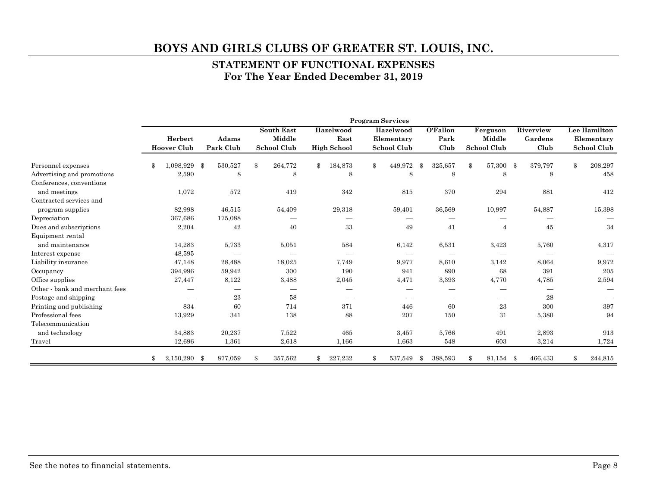#### **STATEMENT OF FUNCTIONAL EXPENSES For The Year Ended December 31, 2019**

|                                |                               |                                  |                                                   |                                         | <b>Program Services</b>                       |                          |                                          |                              |                                                  |
|--------------------------------|-------------------------------|----------------------------------|---------------------------------------------------|-----------------------------------------|-----------------------------------------------|--------------------------|------------------------------------------|------------------------------|--------------------------------------------------|
|                                | Herbert<br><b>Hoover Club</b> | <b>Adams</b><br><b>Park Club</b> | <b>South East</b><br>Middle<br><b>School Club</b> | Hazelwood<br>East<br><b>High School</b> | Hazelwood<br>Elementary<br><b>School Club</b> | O'Fallon<br>Park<br>Club | Ferguson<br>Middle<br><b>School Club</b> | Riverview<br>Gardens<br>Club | Lee Hamilton<br>Elementary<br><b>School Club</b> |
| Personnel expenses             | 1,098,929<br>Я.               | 530,527<br>-\$                   | \$<br>264,772                                     | 184,873<br>$\mathbb{S}$                 | \$<br>449,972                                 | 325,657<br>-\$           | 57,300 \$<br>\$                          | 379,797                      | \$<br>208,297                                    |
| Advertising and promotions     | 2,590                         | 8                                | 8                                                 | 8                                       | 8                                             | 8                        | 8                                        | 8                            | 458                                              |
| Conferences, conventions       |                               |                                  |                                                   |                                         |                                               |                          |                                          |                              |                                                  |
| and meetings                   | 1,072                         | 572                              | 419                                               | 342                                     | 815                                           | 370                      | 294                                      | 881                          | 412                                              |
| Contracted services and        |                               |                                  |                                                   |                                         |                                               |                          |                                          |                              |                                                  |
| program supplies               | 82,998                        | 46,515                           | 54,409                                            | 29,318                                  | 59,401                                        | 36,569                   | 10,997                                   | 54,887                       | 15,398                                           |
| Depreciation                   | 367,686                       | 175,088                          |                                                   | --                                      | --                                            |                          | --                                       |                              |                                                  |
| Dues and subscriptions         | 2,204                         | 42                               | 40                                                | 33                                      | 49                                            | 41                       | 4                                        | 45                           | 34                                               |
| Equipment rental               |                               |                                  |                                                   |                                         |                                               |                          |                                          |                              |                                                  |
| and maintenance                | 14,283                        | 5,733                            | 5,051                                             | 584                                     | 6,142                                         | 6,531                    | 3,423                                    | 5,760                        | 4,317                                            |
| Interest expense               | 48,595                        |                                  |                                                   |                                         |                                               |                          |                                          |                              |                                                  |
| Liability insurance            | 47,148                        | 28,488                           | 18,025                                            | 7.749                                   | 9,977                                         | 8,610                    | 3,142                                    | 8,064                        | 9,972                                            |
| Occupancy                      | 394,996                       | 59,942                           | 300                                               | 190                                     | 941                                           | 890                      | 68                                       | 391                          | 205                                              |
| Office supplies                | 27,447                        | 8,122                            | 3,488                                             | 2,045                                   | 4,471                                         | 3,393                    | 4,770                                    | 4,785                        | 2,594                                            |
| Other - bank and merchant fees |                               |                                  |                                                   |                                         |                                               |                          | --                                       |                              |                                                  |
| Postage and shipping           |                               | 23                               | 58                                                |                                         | -                                             |                          |                                          | 28                           |                                                  |
| Printing and publishing        | 834                           | 60                               | 714                                               | 371                                     | 446                                           | 60                       | 23                                       | 300                          | 397                                              |
| Professional fees              | 13,929                        | 341                              | 138                                               | 88                                      | 207                                           | 150                      | 31                                       | 5,380                        | 94                                               |
| Telecommunication              |                               |                                  |                                                   |                                         |                                               |                          |                                          |                              |                                                  |
| and technology                 | 34,883                        | 20,237                           | 7,522                                             | 465                                     | 3.457                                         | 5,766                    | 491                                      | 2,893                        | 913                                              |
| Travel                         | 12,696                        | 1,361                            | 2,618                                             | 1,166                                   | 1,663                                         | 548                      | 603                                      | 3,214                        | 1,724                                            |
|                                | 2,150,290<br>\$               | 877,059<br>- \$                  | 357,562<br>ዳ                                      | 227,232<br>\$                           | 537,549<br>\$                                 | 388,593<br>- \$          | 81,154 \$<br>\$                          | 466,433                      | 244,815<br>\$                                    |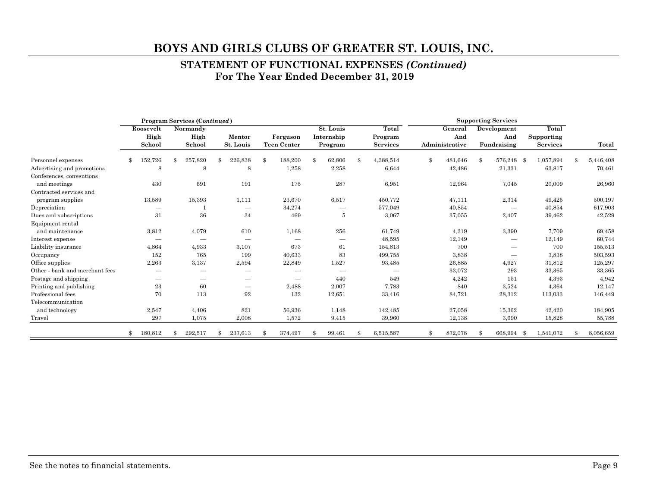## **STATEMENT OF FUNCTIONAL EXPENSES** *(Continued)*  **For The Year Ended December 31, 2019**

|                                |                             |    | <b>Program Services (Continued)</b> |                          |                                |               |                                           |                                     |                                  | <b>Supporting Services</b>        |                                        |    |           |
|--------------------------------|-----------------------------|----|-------------------------------------|--------------------------|--------------------------------|---------------|-------------------------------------------|-------------------------------------|----------------------------------|-----------------------------------|----------------------------------------|----|-----------|
|                                | Roosevelt<br>High<br>School |    | Normandy<br>High<br>School          | Mentor<br>St. Louis      | Ferguson<br><b>Teen Center</b> |               | <b>St. Louis</b><br>Internship<br>Program | Total<br>Program<br><b>Services</b> | General<br>And<br>Administrative | Development<br>And<br>Fundraising | Total<br>Supporting<br><b>Services</b> |    | Total     |
| Personnel expenses             | \$<br>152,726               | \$ | 257,820                             | \$<br>226,838            | \$<br>188,200                  | $\mathbf{\$}$ | 62,806                                    | \$<br>4,388,514                     | \$<br>481,646                    | \$<br>576,248 \$                  | 1,057,894                              | Я. | 5,446,408 |
| Advertising and promotions     | 8                           |    | 8                                   | 8                        | 1,258                          |               | 2,258                                     | 6,644                               | 42,486                           | 21,331                            | 63,817                                 |    | 70,461    |
| Conferences, conventions       |                             |    |                                     |                          |                                |               |                                           |                                     |                                  |                                   |                                        |    |           |
| and meetings                   | 430                         |    | 691                                 | 191                      | 175                            |               | 287                                       | 6,951                               | 12,964                           | 7,045                             | 20,009                                 |    | 26,960    |
| Contracted services and        |                             |    |                                     |                          |                                |               |                                           |                                     |                                  |                                   |                                        |    |           |
| program supplies               | 13,589                      |    | 15,393                              | 1,111                    | 23,670                         |               | 6,517                                     | 450,772                             | 47,111                           | 2,314                             | 49,425                                 |    | 500,197   |
| Depreciation                   | $\qquad \qquad$             |    |                                     | $\hspace{0.05cm}$        | 34,274                         |               | $\hspace{0.1mm}-\hspace{0.1mm}$           | 577,049                             | 40,854                           | $\qquad \qquad \longleftarrow$    | 40,854                                 |    | 617,903   |
| Dues and subscriptions         | 31                          |    | 36                                  | 34                       | 469                            |               | 5                                         | 3,067                               | 37,055                           | 2,407                             | 39,462                                 |    | 42,529    |
| Equipment rental               |                             |    |                                     |                          |                                |               |                                           |                                     |                                  |                                   |                                        |    |           |
| and maintenance                | 3,812                       |    | 4,079                               | 610                      | 1,168                          |               | 256                                       | 61,749                              | 4,319                            | 3,390                             | 7,709                                  |    | 69,458    |
| Interest expense               | $\sim$                      |    | $\overline{\phantom{a}}$            | $\sim$                   |                                |               | $\hspace{0.1mm}-\hspace{0.1mm}$           | 48,595                              | 12,149                           | $\overline{\phantom{m}}$          | 12,149                                 |    | 60,744    |
| Liability insurance            | 4,864                       |    | 4,933                               | 3,107                    | 673                            |               | 61                                        | 154,813                             | 700                              | $\qquad \qquad$                   | 700                                    |    | 155,513   |
| Occupancy                      | 152                         |    | 765                                 | 199                      | 40,633                         |               | 83                                        | 499,755                             | 3,838                            | $\overline{\phantom{m}}$          | 3,838                                  |    | 503,593   |
| Office supplies                | 2,263                       |    | 3,137                               | 2,594                    | 22,849                         |               | 1,527                                     | 93,485                              | 26,885                           | 4,927                             | 31,812                                 |    | 125,297   |
| Other - bank and merchant fees | $\overline{\phantom{a}}$    |    |                                     |                          |                                |               | $\overline{\phantom{a}}$                  |                                     | 33,072                           | 293                               | 33,365                                 |    | 33,365    |
| Postage and shipping           | $\sim$                      |    |                                     | $\overline{\phantom{a}}$ |                                |               | 440                                       | 549                                 | 4,242                            | 151                               | 4,393                                  |    | 4,942     |
| Printing and publishing        | 23                          |    | 60                                  | $\hspace{0.05cm}$        | 2,488                          |               | 2,007                                     | 7,783                               | 840                              | 3,524                             | 4,364                                  |    | 12,147    |
| Professional fees              | 70                          |    | 113                                 | $\boldsymbol{92}$        | 132                            |               | 12,651                                    | 33,416                              | 84,721                           | 28,312                            | 113,033                                |    | 146,449   |
| Telecommunication              |                             |    |                                     |                          |                                |               |                                           |                                     |                                  |                                   |                                        |    |           |
| and technology                 | 2,547                       |    | 4,406                               | 821                      | 56,936                         |               | 1,148                                     | 142,485                             | 27,058                           | 15,362                            | 42,420                                 |    | 184,905   |
| Travel                         | 297                         |    | 1,075                               | 2,008                    | 1,572                          |               | 9,415                                     | 39,960                              | 12,138                           | 3,690                             | 15,828                                 |    | 55,788    |
|                                | \$<br>180,812               | -Я | 292,517                             | \$<br>237,613            | \$<br>374,497                  | \$            | 99,461                                    | 6,515,587                           | \$<br>872,078                    | \$<br>668,994 \$                  | 1,541,072                              | -8 | 8,056,659 |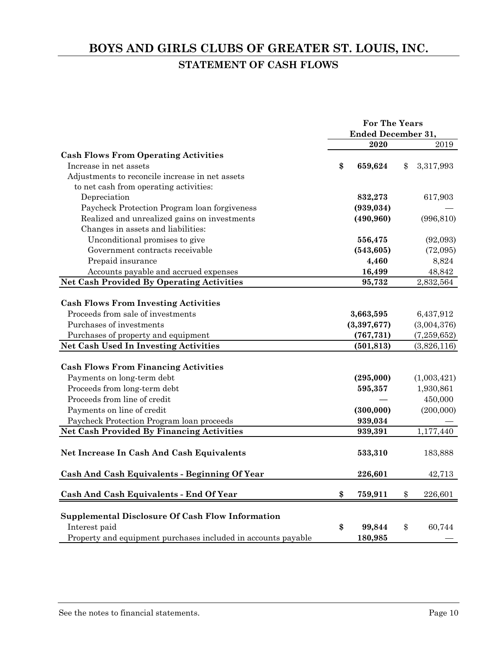# **BOYS AND GIRLS CLUBS OF GREATER ST. LOUIS, INC. STATEMENT OF CASH FLOWS**

|                                                                                  | <b>For The Years</b>      |                 |
|----------------------------------------------------------------------------------|---------------------------|-----------------|
|                                                                                  | <b>Ended December 31,</b> |                 |
|                                                                                  | 2020                      | $2019\,$        |
| <b>Cash Flows From Operating Activities</b>                                      |                           |                 |
| Increase in net assets                                                           | \$<br>659,624             | \$<br>3,317,993 |
| Adjustments to reconcile increase in net assets                                  |                           |                 |
| to net cash from operating activities:                                           |                           |                 |
| Depreciation                                                                     | 832,273                   | 617,903         |
| Paycheck Protection Program loan forgiveness                                     | (939, 034)                |                 |
| Realized and unrealized gains on investments                                     | (490, 960)                | (996, 810)      |
| Changes in assets and liabilities:                                               |                           |                 |
| Unconditional promises to give                                                   | 556,475                   | (92,093)        |
| Government contracts receivable                                                  | (543,605)                 | (72,095)        |
| Prepaid insurance                                                                | 4,460                     | 8,824           |
| Accounts payable and accrued expenses                                            | 16,499                    | 48,842          |
| <b>Net Cash Provided By Operating Activities</b>                                 | 95,732                    | 2,832,564       |
|                                                                                  |                           |                 |
| <b>Cash Flows From Investing Activities</b><br>Proceeds from sale of investments | 3,663,595                 | 6,437,912       |
| Purchases of investments                                                         |                           |                 |
|                                                                                  | (3, 397, 677)             | (3,004,376)     |
| Purchases of property and equipment                                              | (767, 731)                | (7, 259, 652)   |
| <b>Net Cash Used In Investing Activities</b>                                     | (501, 813)                | (3,826,116)     |
| <b>Cash Flows From Financing Activities</b>                                      |                           |                 |
| Payments on long-term debt                                                       | (295,000)                 | (1,003,421)     |
| Proceeds from long-term debt                                                     | 595,357                   | 1,930,861       |
| Proceeds from line of credit                                                     |                           | 450,000         |
| Payments on line of credit                                                       | (300,000)                 | (200,000)       |
| Paycheck Protection Program loan proceeds                                        | 939,034                   |                 |
| <b>Net Cash Provided By Financing Activities</b>                                 | 939,391                   | 1,177,440       |
|                                                                                  |                           |                 |
| Net Increase In Cash And Cash Equivalents                                        | 533,310                   | 183,888         |
| Cash And Cash Equivalents - Beginning Of Year                                    | 226,601                   | 42,713          |
| <b>Cash And Cash Equivalents - End Of Year</b>                                   | \$<br>759,911             | \$<br>226,601   |
|                                                                                  |                           |                 |
| <b>Supplemental Disclosure Of Cash Flow Information</b>                          |                           |                 |
| Interest paid                                                                    | \$<br>99,844              | \$<br>60,744    |
| Property and equipment purchases included in accounts payable                    | 180,985                   |                 |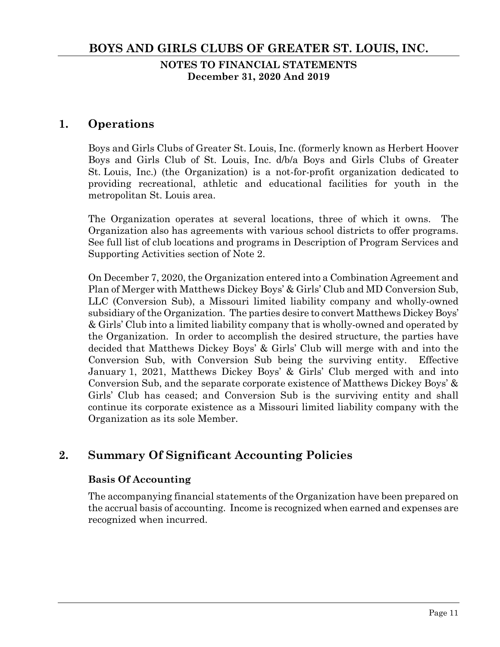**NOTES TO FINANCIAL STATEMENTS December 31, 2020 And 2019** 

## **1. Operations**

Boys and Girls Clubs of Greater St. Louis, Inc. (formerly known as Herbert Hoover Boys and Girls Club of St. Louis, Inc. d/b/a Boys and Girls Clubs of Greater St. Louis, Inc.) (the Organization) is a not-for-profit organization dedicated to providing recreational, athletic and educational facilities for youth in the metropolitan St. Louis area.

The Organization operates at several locations, three of which it owns. The Organization also has agreements with various school districts to offer programs. See full list of club locations and programs in Description of Program Services and Supporting Activities section of Note 2.

On December 7, 2020, the Organization entered into a Combination Agreement and Plan of Merger with Matthews Dickey Boys' & Girls' Club and MD Conversion Sub, LLC (Conversion Sub), a Missouri limited liability company and wholly-owned subsidiary of the Organization. The parties desire to convert Matthews Dickey Boys' & Girls' Club into a limited liability company that is wholly-owned and operated by the Organization. In order to accomplish the desired structure, the parties have decided that Matthews Dickey Boys' & Girls' Club will merge with and into the Conversion Sub, with Conversion Sub being the surviving entity. Effective January 1, 2021, Matthews Dickey Boys' & Girls' Club merged with and into Conversion Sub, and the separate corporate existence of Matthews Dickey Boys' & Girls' Club has ceased; and Conversion Sub is the surviving entity and shall continue its corporate existence as a Missouri limited liability company with the Organization as its sole Member.

# **2. Summary Of Significant Accounting Policies**

#### **Basis Of Accounting**

The accompanying financial statements of the Organization have been prepared on the accrual basis of accounting. Income is recognized when earned and expenses are recognized when incurred.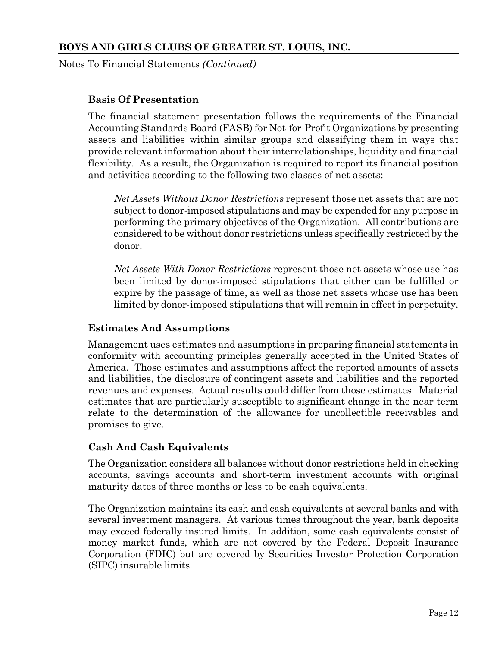Notes To Financial Statements *(Continued)*

#### **Basis Of Presentation**

The financial statement presentation follows the requirements of the Financial Accounting Standards Board (FASB) for Not-for-Profit Organizations by presenting assets and liabilities within similar groups and classifying them in ways that provide relevant information about their interrelationships, liquidity and financial flexibility. As a result, the Organization is required to report its financial position and activities according to the following two classes of net assets:

*Net Assets Without Donor Restrictions* represent those net assets that are not subject to donor-imposed stipulations and may be expended for any purpose in performing the primary objectives of the Organization. All contributions are considered to be without donor restrictions unless specifically restricted by the donor.

*Net Assets With Donor Restrictions* represent those net assets whose use has been limited by donor-imposed stipulations that either can be fulfilled or expire by the passage of time, as well as those net assets whose use has been limited by donor-imposed stipulations that will remain in effect in perpetuity.

#### **Estimates And Assumptions**

Management uses estimates and assumptions in preparing financial statements in conformity with accounting principles generally accepted in the United States of America. Those estimates and assumptions affect the reported amounts of assets and liabilities, the disclosure of contingent assets and liabilities and the reported revenues and expenses. Actual results could differ from those estimates. Material estimates that are particularly susceptible to significant change in the near term relate to the determination of the allowance for uncollectible receivables and promises to give.

## **Cash And Cash Equivalents**

The Organization considers all balances without donor restrictions held in checking accounts, savings accounts and short-term investment accounts with original maturity dates of three months or less to be cash equivalents.

The Organization maintains its cash and cash equivalents at several banks and with several investment managers. At various times throughout the year, bank deposits may exceed federally insured limits. In addition, some cash equivalents consist of money market funds, which are not covered by the Federal Deposit Insurance Corporation (FDIC) but are covered by Securities Investor Protection Corporation (SIPC) insurable limits.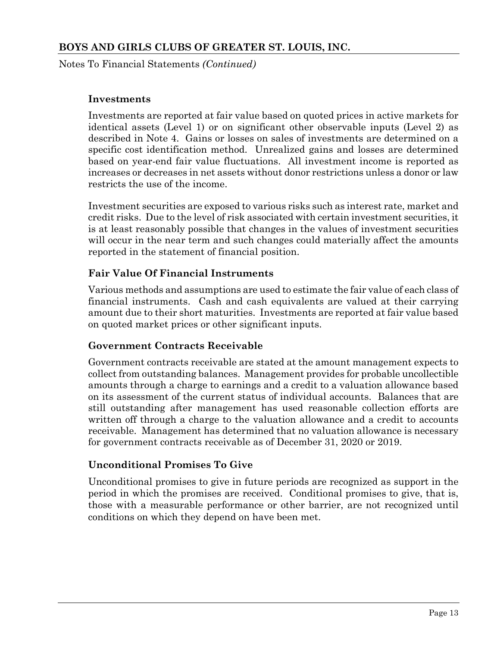Notes To Financial Statements *(Continued)*

#### **Investments**

Investments are reported at fair value based on quoted prices in active markets for identical assets (Level 1) or on significant other observable inputs (Level 2) as described in Note 4. Gains or losses on sales of investments are determined on a specific cost identification method. Unrealized gains and losses are determined based on year-end fair value fluctuations. All investment income is reported as increases or decreases in net assets without donor restrictions unless a donor or law restricts the use of the income.

Investment securities are exposed to various risks such as interest rate, market and credit risks. Due to the level of risk associated with certain investment securities, it is at least reasonably possible that changes in the values of investment securities will occur in the near term and such changes could materially affect the amounts reported in the statement of financial position.

## **Fair Value Of Financial Instruments**

Various methods and assumptions are used to estimate the fair value of each class of financial instruments. Cash and cash equivalents are valued at their carrying amount due to their short maturities. Investments are reported at fair value based on quoted market prices or other significant inputs.

#### **Government Contracts Receivable**

Government contracts receivable are stated at the amount management expects to collect from outstanding balances. Management provides for probable uncollectible amounts through a charge to earnings and a credit to a valuation allowance based on its assessment of the current status of individual accounts. Balances that are still outstanding after management has used reasonable collection efforts are written off through a charge to the valuation allowance and a credit to accounts receivable. Management has determined that no valuation allowance is necessary for government contracts receivable as of December 31, 2020 or 2019.

#### **Unconditional Promises To Give**

Unconditional promises to give in future periods are recognized as support in the period in which the promises are received. Conditional promises to give, that is, those with a measurable performance or other barrier, are not recognized until conditions on which they depend on have been met.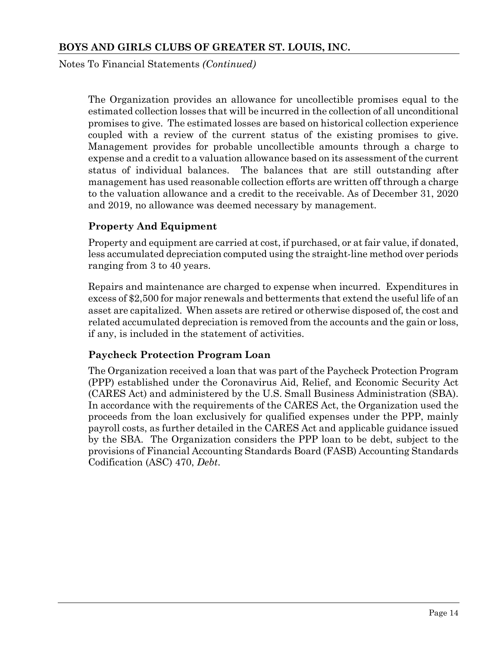Notes To Financial Statements *(Continued)*

The Organization provides an allowance for uncollectible promises equal to the estimated collection losses that will be incurred in the collection of all unconditional promises to give. The estimated losses are based on historical collection experience coupled with a review of the current status of the existing promises to give. Management provides for probable uncollectible amounts through a charge to expense and a credit to a valuation allowance based on its assessment of the current status of individual balances. The balances that are still outstanding after management has used reasonable collection efforts are written off through a charge to the valuation allowance and a credit to the receivable. As of December 31, 2020 and 2019, no allowance was deemed necessary by management.

#### **Property And Equipment**

Property and equipment are carried at cost, if purchased, or at fair value, if donated, less accumulated depreciation computed using the straight-line method over periods ranging from 3 to 40 years.

Repairs and maintenance are charged to expense when incurred. Expenditures in excess of \$2,500 for major renewals and betterments that extend the useful life of an asset are capitalized. When assets are retired or otherwise disposed of, the cost and related accumulated depreciation is removed from the accounts and the gain or loss, if any, is included in the statement of activities.

#### **Paycheck Protection Program Loan**

The Organization received a loan that was part of the Paycheck Protection Program (PPP) established under the Coronavirus Aid, Relief, and Economic Security Act (CARES Act) and administered by the U.S. Small Business Administration (SBA). In accordance with the requirements of the CARES Act, the Organization used the proceeds from the loan exclusively for qualified expenses under the PPP, mainly payroll costs, as further detailed in the CARES Act and applicable guidance issued by the SBA. The Organization considers the PPP loan to be debt, subject to the provisions of Financial Accounting Standards Board (FASB) Accounting Standards Codification (ASC) 470, *Debt*.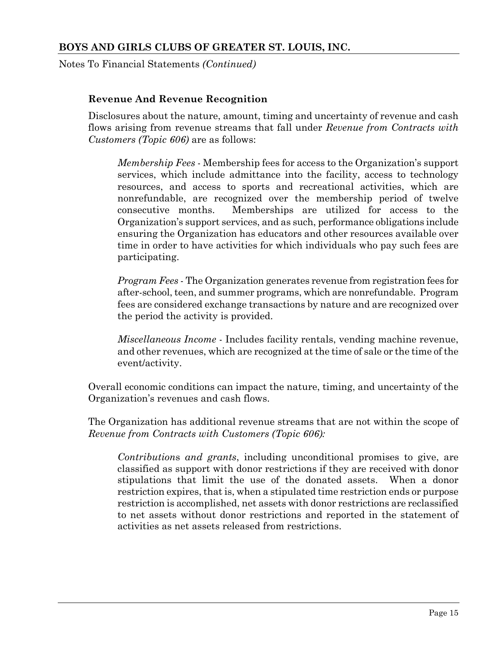Notes To Financial Statements *(Continued)*

## **Revenue And Revenue Recognition**

Disclosures about the nature, amount, timing and uncertainty of revenue and cash flows arising from revenue streams that fall under *Revenue from Contracts with Customers (Topic 606)* are as follows:

*Membership Fees* - Membership fees for access to the Organization's support services, which include admittance into the facility, access to technology resources, and access to sports and recreational activities, which are nonrefundable, are recognized over the membership period of twelve consecutive months. Memberships are utilized for access to the Organization's support services, and as such, performance obligations include ensuring the Organization has educators and other resources available over time in order to have activities for which individuals who pay such fees are participating.

*Program Fees* - The Organization generates revenue from registration fees for after-school, teen, and summer programs, which are nonrefundable. Program fees are considered exchange transactions by nature and are recognized over the period the activity is provided.

*Miscellaneous Income* - Includes facility rentals, vending machine revenue, and other revenues, which are recognized at the time of sale or the time of the event/activity.

Overall economic conditions can impact the nature, timing, and uncertainty of the Organization's revenues and cash flows.

The Organization has additional revenue streams that are not within the scope of *Revenue from Contracts with Customers (Topic 606):*

*Contribution*s *and grants*, including unconditional promises to give, are classified as support with donor restrictions if they are received with donor stipulations that limit the use of the donated assets. When a donor restriction expires, that is, when a stipulated time restriction ends or purpose restriction is accomplished, net assets with donor restrictions are reclassified to net assets without donor restrictions and reported in the statement of activities as net assets released from restrictions.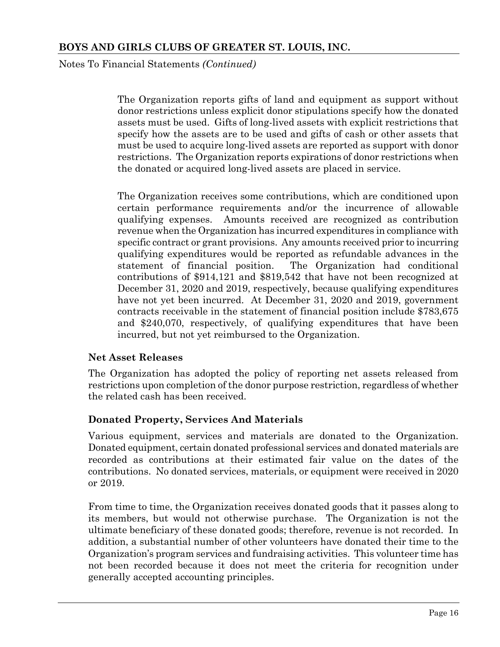Notes To Financial Statements *(Continued)*

The Organization reports gifts of land and equipment as support without donor restrictions unless explicit donor stipulations specify how the donated assets must be used. Gifts of long-lived assets with explicit restrictions that specify how the assets are to be used and gifts of cash or other assets that must be used to acquire long-lived assets are reported as support with donor restrictions. The Organization reports expirations of donor restrictions when the donated or acquired long-lived assets are placed in service.

The Organization receives some contributions, which are conditioned upon certain performance requirements and/or the incurrence of allowable qualifying expenses. Amounts received are recognized as contribution revenue when the Organization has incurred expenditures in compliance with specific contract or grant provisions. Any amounts received prior to incurring qualifying expenditures would be reported as refundable advances in the statement of financial position. The Organization had conditional contributions of \$914,121 and \$819,542 that have not been recognized at December 31, 2020 and 2019, respectively, because qualifying expenditures have not yet been incurred. At December 31, 2020 and 2019, government contracts receivable in the statement of financial position include \$783,675 and \$240,070, respectively, of qualifying expenditures that have been incurred, but not yet reimbursed to the Organization.

#### **Net Asset Releases**

The Organization has adopted the policy of reporting net assets released from restrictions upon completion of the donor purpose restriction, regardless of whether the related cash has been received.

#### **Donated Property, Services And Materials**

Various equipment, services and materials are donated to the Organization. Donated equipment, certain donated professional services and donated materials are recorded as contributions at their estimated fair value on the dates of the contributions. No donated services, materials, or equipment were received in 2020 or 2019.

From time to time, the Organization receives donated goods that it passes along to its members, but would not otherwise purchase. The Organization is not the ultimate beneficiary of these donated goods; therefore, revenue is not recorded. In addition, a substantial number of other volunteers have donated their time to the Organization's program services and fundraising activities. This volunteer time has not been recorded because it does not meet the criteria for recognition under generally accepted accounting principles.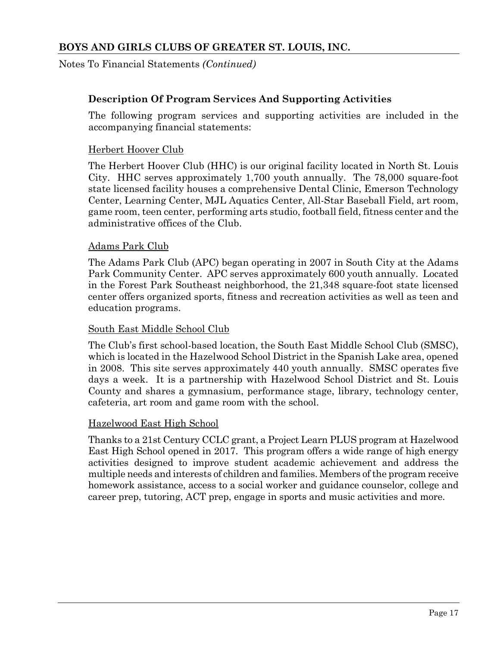Notes To Financial Statements *(Continued)*

## **Description Of Program Services And Supporting Activities**

The following program services and supporting activities are included in the accompanying financial statements:

#### Herbert Hoover Club

The Herbert Hoover Club (HHC) is our original facility located in North St. Louis City. HHC serves approximately 1,700 youth annually. The 78,000 square-foot state licensed facility houses a comprehensive Dental Clinic, Emerson Technology Center, Learning Center, MJL Aquatics Center, All-Star Baseball Field, art room, game room, teen center, performing arts studio, football field, fitness center and the administrative offices of the Club.

#### Adams Park Club

The Adams Park Club (APC) began operating in 2007 in South City at the Adams Park Community Center. APC serves approximately 600 youth annually. Located in the Forest Park Southeast neighborhood, the 21,348 square-foot state licensed center offers organized sports, fitness and recreation activities as well as teen and education programs.

#### South East Middle School Club

The Club's first school-based location, the South East Middle School Club (SMSC), which is located in the Hazelwood School District in the Spanish Lake area, opened in 2008. This site serves approximately 440 youth annually. SMSC operates five days a week. It is a partnership with Hazelwood School District and St. Louis County and shares a gymnasium, performance stage, library, technology center, cafeteria, art room and game room with the school.

#### Hazelwood East High School

Thanks to a 21st Century CCLC grant, a Project Learn PLUS program at Hazelwood East High School opened in 2017. This program offers a wide range of high energy activities designed to improve student academic achievement and address the multiple needs and interests of children and families. Members of the program receive homework assistance, access to a social worker and guidance counselor, college and career prep, tutoring, ACT prep, engage in sports and music activities and more.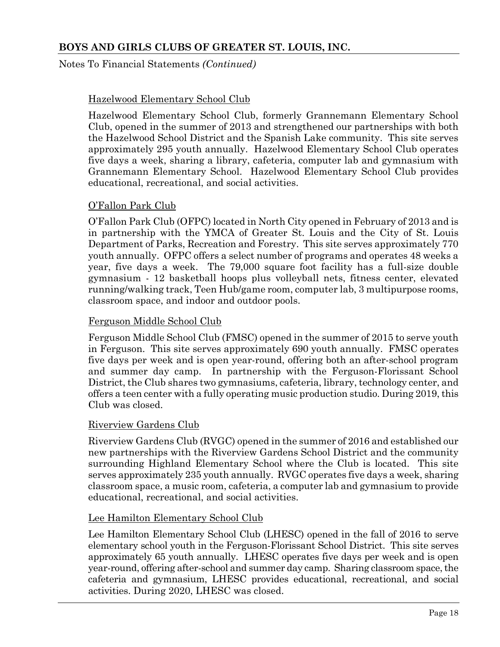Notes To Financial Statements *(Continued)*

## Hazelwood Elementary School Club

Hazelwood Elementary School Club, formerly Grannemann Elementary School Club, opened in the summer of 2013 and strengthened our partnerships with both the Hazelwood School District and the Spanish Lake community. This site serves approximately 295 youth annually. Hazelwood Elementary School Club operates five days a week, sharing a library, cafeteria, computer lab and gymnasium with Grannemann Elementary School. Hazelwood Elementary School Club provides educational, recreational, and social activities.

#### O'Fallon Park Club

O'Fallon Park Club (OFPC) located in North City opened in February of 2013 and is in partnership with the YMCA of Greater St. Louis and the City of St. Louis Department of Parks, Recreation and Forestry. This site serves approximately 770 youth annually. OFPC offers a select number of programs and operates 48 weeks a year, five days a week. The 79,000 square foot facility has a full-size double gymnasium - 12 basketball hoops plus volleyball nets, fitness center, elevated running/walking track, Teen Hub/game room, computer lab, 3 multipurpose rooms, classroom space, and indoor and outdoor pools.

#### Ferguson Middle School Club

Ferguson Middle School Club (FMSC) opened in the summer of 2015 to serve youth in Ferguson. This site serves approximately 690 youth annually. FMSC operates five days per week and is open year-round, offering both an after-school program and summer day camp. In partnership with the Ferguson-Florissant School District, the Club shares two gymnasiums, cafeteria, library, technology center, and offers a teen center with a fully operating music production studio. During 2019, this Club was closed.

#### Riverview Gardens Club

Riverview Gardens Club (RVGC) opened in the summer of 2016 and established our new partnerships with the Riverview Gardens School District and the community surrounding Highland Elementary School where the Club is located. This site serves approximately 235 youth annually. RVGC operates five days a week, sharing classroom space, a music room, cafeteria, a computer lab and gymnasium to provide educational, recreational, and social activities.

#### Lee Hamilton Elementary School Club

Lee Hamilton Elementary School Club (LHESC) opened in the fall of 2016 to serve elementary school youth in the Ferguson-Florissant School District. This site serves approximately 65 youth annually. LHESC operates five days per week and is open year-round, offering after-school and summer day camp. Sharing classroom space, the cafeteria and gymnasium, LHESC provides educational, recreational, and social activities. During 2020, LHESC was closed.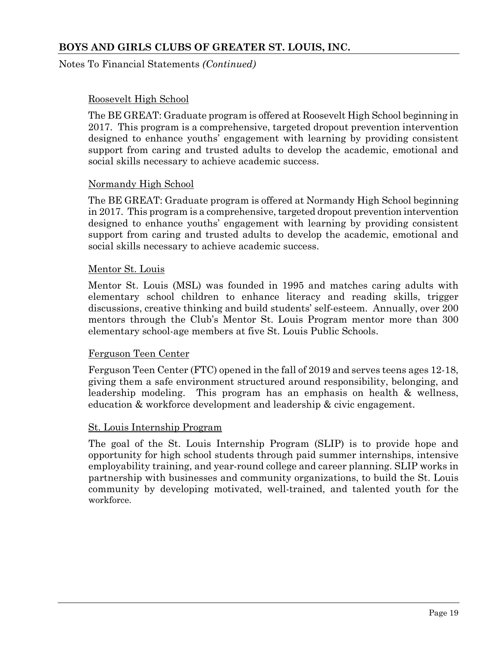Notes To Financial Statements *(Continued)*

#### Roosevelt High School

The BE GREAT: Graduate program is offered at Roosevelt High School beginning in 2017. This program is a comprehensive, targeted dropout prevention intervention designed to enhance youths' engagement with learning by providing consistent support from caring and trusted adults to develop the academic, emotional and social skills necessary to achieve academic success.

#### Normandy High School

The BE GREAT: Graduate program is offered at Normandy High School beginning in 2017. This program is a comprehensive, targeted dropout prevention intervention designed to enhance youths' engagement with learning by providing consistent support from caring and trusted adults to develop the academic, emotional and social skills necessary to achieve academic success.

#### Mentor St. Louis

Mentor St. Louis (MSL) was founded in 1995 and matches caring adults with elementary school children to enhance literacy and reading skills, trigger discussions, creative thinking and build students' self-esteem. Annually, over 200 mentors through the Club's Mentor St. Louis Program mentor more than 300 elementary school-age members at five St. Louis Public Schools.

#### Ferguson Teen Center

Ferguson Teen Center (FTC) opened in the fall of 2019 and serves teens ages 12-18, giving them a safe environment structured around responsibility, belonging, and leadership modeling. This program has an emphasis on health & wellness, education & workforce development and leadership & civic engagement.

#### St. Louis Internship Program

The goal of the St. Louis Internship Program (SLIP) is to provide hope and opportunity for high school students through paid summer internships, intensive employability training, and year-round college and career planning. SLIP works in partnership with businesses and community organizations, to build the St. Louis community by developing motivated, well-trained, and talented youth for the workforce.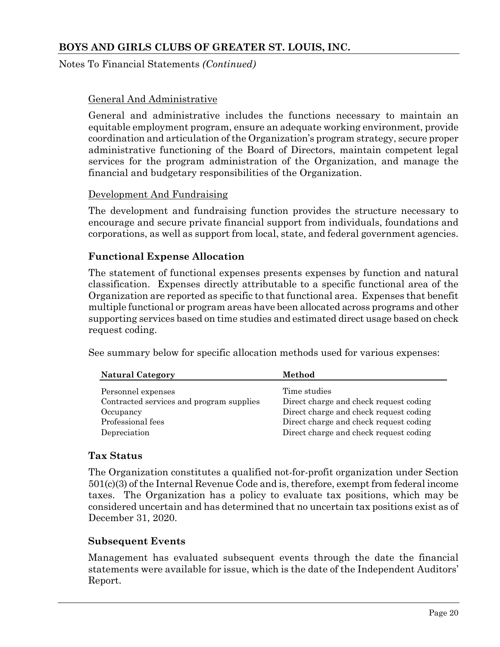Notes To Financial Statements *(Continued)*

#### General And Administrative

General and administrative includes the functions necessary to maintain an equitable employment program, ensure an adequate working environment, provide coordination and articulation of the Organization's program strategy, secure proper administrative functioning of the Board of Directors, maintain competent legal services for the program administration of the Organization, and manage the financial and budgetary responsibilities of the Organization.

#### Development And Fundraising

The development and fundraising function provides the structure necessary to encourage and secure private financial support from individuals, foundations and corporations, as well as support from local, state, and federal government agencies.

#### **Functional Expense Allocation**

The statement of functional expenses presents expenses by function and natural classification. Expenses directly attributable to a specific functional area of the Organization are reported as specific to that functional area. Expenses that benefit multiple functional or program areas have been allocated across programs and other supporting services based on time studies and estimated direct usage based on check request coding.

See summary below for specific allocation methods used for various expenses:

| <b>Natural Category</b>                  | Method                                 |
|------------------------------------------|----------------------------------------|
| Personnel expenses                       | Time studies                           |
| Contracted services and program supplies | Direct charge and check request coding |
| Occupancy                                | Direct charge and check request coding |
| Professional fees                        | Direct charge and check request coding |
| Depreciation                             | Direct charge and check request coding |

#### **Tax Status**

The Organization constitutes a qualified not-for-profit organization under Section 501(c)(3) of the Internal Revenue Code and is, therefore, exempt from federal income taxes. The Organization has a policy to evaluate tax positions, which may be considered uncertain and has determined that no uncertain tax positions exist as of December 31, 2020.

#### **Subsequent Events**

Management has evaluated subsequent events through the date the financial statements were available for issue, which is the date of the Independent Auditors' Report.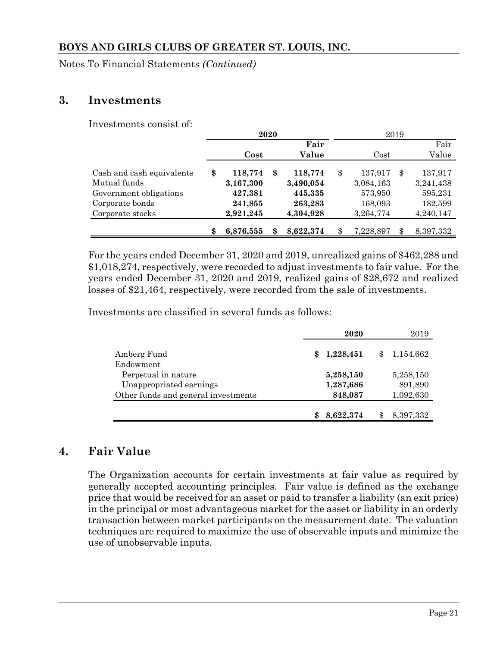Notes To Financial Statements *(Continued)*

## **3. Investments**

Investments consist of:

|                                                                     |                                       | 2020 |                                 | 2019 |                                 |      |                                 |
|---------------------------------------------------------------------|---------------------------------------|------|---------------------------------|------|---------------------------------|------|---------------------------------|
|                                                                     |                                       | Fair |                                 |      |                                 | Fair |                                 |
|                                                                     | Cost                                  |      | Value                           |      | Cost                            |      | Value                           |
| Cash and cash equivalents<br>Mutual funds<br>Government obligations | \$<br>118,774<br>3,167,300<br>427,381 | \$   | 118,774<br>3,490,054<br>445,335 | \$   | 137,917<br>3,084,163<br>573,950 | \$   | 137,917<br>3,241,438<br>595,231 |
| Corporate bonds<br>Corporate stocks                                 | 241,855<br>2,921,245                  |      | 263,283<br>4,304,928            |      | 168,093<br>3,264,774            |      | 182,599<br>4,240,147            |
|                                                                     | \$<br>6,876,555                       | \$   | 8,622,374                       |      | 7,228,897                       | ¢    | 8,397,332                       |

For the years ended December 31, 2020 and 2019, unrealized gains of \$462,288 and \$1,018,274, respectively, were recorded to adjust investments to fair value. For the years ended December 31, 2020 and 2019, realized gains of \$28,672 and realized losses of \$21,464, respectively, were recorded from the sale of investments.

Investments are classified in several funds as follows:

|                                     | 2020            | 2019      |
|-------------------------------------|-----------------|-----------|
| Amberg Fund                         | \$<br>1,228,451 | 1,154,662 |
| Endowment                           |                 |           |
| Perpetual in nature                 | 5,258,150       | 5,258,150 |
| Unappropriated earnings             | 1,287,686       | 891,890   |
| Other funds and general investments | 848,087         | 1,092,630 |
|                                     |                 |           |
|                                     | 8,622,374       | 8,397,332 |

# **4. Fair Value**

The Organization accounts for certain investments at fair value as required by generally accepted accounting principles. Fair value is defined as the exchange price that would be received for an asset or paid to transfer a liability (an exit price) in the principal or most advantageous market for the asset or liability in an orderly transaction between market participants on the measurement date. The valuation techniques are required to maximize the use of observable inputs and minimize the use of unobservable inputs.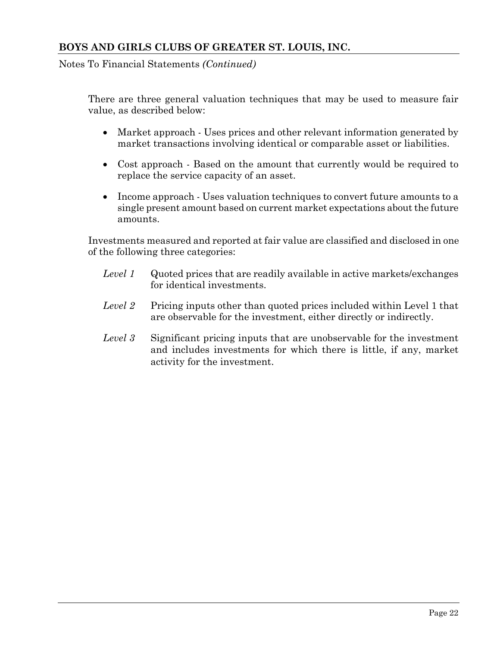Notes To Financial Statements *(Continued)*

There are three general valuation techniques that may be used to measure fair value, as described below:

- Market approach Uses prices and other relevant information generated by market transactions involving identical or comparable asset or liabilities.
- Cost approach Based on the amount that currently would be required to replace the service capacity of an asset.
- Income approach Uses valuation techniques to convert future amounts to a single present amount based on current market expectations about the future amounts.

Investments measured and reported at fair value are classified and disclosed in one of the following three categories:

- *Level 1* Quoted prices that are readily available in active markets/exchanges for identical investments.
- *Level 2* Pricing inputs other than quoted prices included within Level 1 that are observable for the investment, either directly or indirectly.
- *Level 3* Significant pricing inputs that are unobservable for the investment and includes investments for which there is little, if any, market activity for the investment.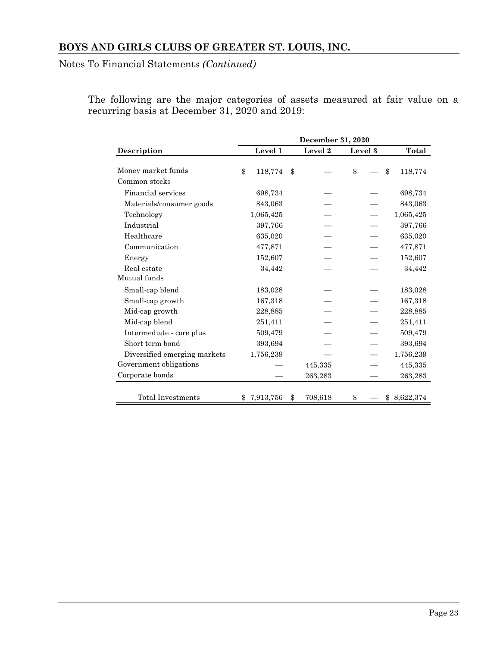#### Notes To Financial Statements *(Continued)*

The following are the major categories of assets measured at fair value on a recurring basis at December 31, 2020 and 2019:

|                              | December 31, 2020 |             |    |         |         |  |    |             |  |
|------------------------------|-------------------|-------------|----|---------|---------|--|----|-------------|--|
| Description                  | Level 1           |             |    | Level 2 | Level 3 |  |    | Total       |  |
|                              |                   |             |    |         |         |  |    |             |  |
| Money market funds           | \$                | 118,774     | \$ |         | \$      |  | \$ | 118,774     |  |
| Common stocks                |                   |             |    |         |         |  |    |             |  |
| Financial services           |                   | 698,734     |    |         |         |  |    | 698,734     |  |
| Materials/consumer goods     |                   | 843,063     |    |         |         |  |    | 843,063     |  |
| Technology                   |                   | 1,065,425   |    |         |         |  |    | 1,065,425   |  |
| Industrial                   |                   | 397,766     |    |         |         |  |    | 397,766     |  |
| Healthcare                   |                   | 635,020     |    |         |         |  |    | 635,020     |  |
| Communication                |                   | 477,871     |    |         |         |  |    | 477,871     |  |
| Energy                       |                   | 152,607     |    |         |         |  |    | 152,607     |  |
| Real estate                  |                   | 34,442      |    |         |         |  |    | 34,442      |  |
| Mutual funds                 |                   |             |    |         |         |  |    |             |  |
| Small-cap blend              |                   | 183,028     |    |         |         |  |    | 183,028     |  |
| Small-cap growth             |                   | 167,318     |    |         |         |  |    | 167,318     |  |
| Mid-cap growth               |                   | 228,885     |    |         |         |  |    | 228,885     |  |
| Mid-cap blend                |                   | 251,411     |    |         |         |  |    | 251,411     |  |
| Intermediate - core plus     |                   | 509,479     |    |         |         |  |    | 509,479     |  |
| Short term bond              |                   | 393,694     |    |         |         |  |    | 393,694     |  |
| Diversified emerging markets |                   | 1,756,239   |    |         |         |  |    | 1,756,239   |  |
| Government obligations       |                   |             |    | 445,335 |         |  |    | 445,335     |  |
| Corporate bonds              |                   |             |    | 263,283 |         |  |    | 263,283     |  |
|                              |                   |             |    |         |         |  |    |             |  |
| Total Investments            |                   | \$7,913,756 | \$ | 708,618 | \$      |  |    | \$8,622,374 |  |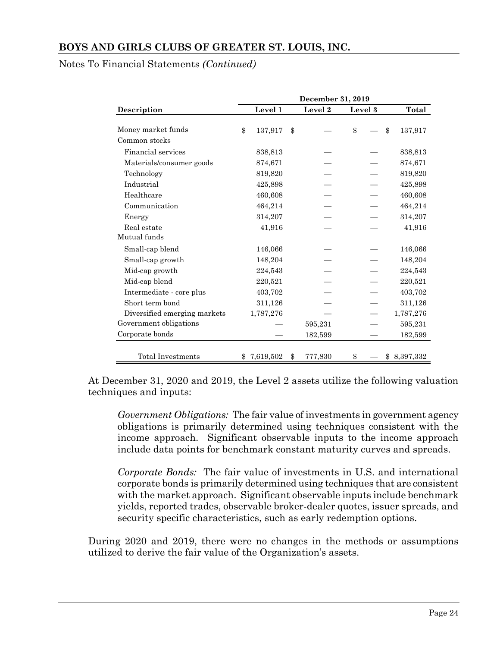Notes To Financial Statements *(Continued)*

|                              | December 31, 2019 |             |    |         |         |  |    |             |  |
|------------------------------|-------------------|-------------|----|---------|---------|--|----|-------------|--|
| Description                  | Level 1           |             |    | Level 2 | Level 3 |  |    | Total       |  |
| Money market funds           | \$                | 137,917     | \$ |         | \$      |  | \$ | 137,917     |  |
| Common stocks                |                   |             |    |         |         |  |    |             |  |
| Financial services           |                   | 838,813     |    |         |         |  |    | 838,813     |  |
| Materials/consumer goods     |                   | 874,671     |    |         |         |  |    | 874,671     |  |
| Technology                   |                   | 819,820     |    |         |         |  |    | 819,820     |  |
| Industrial                   |                   | 425,898     |    |         |         |  |    | 425,898     |  |
| Healthcare                   |                   | 460,608     |    |         |         |  |    | 460,608     |  |
| Communication                |                   | 464,214     |    |         |         |  |    | 464,214     |  |
| Energy                       |                   | 314,207     |    |         |         |  |    | 314,207     |  |
| Real estate                  |                   | 41,916      |    |         |         |  |    | 41,916      |  |
| Mutual funds                 |                   |             |    |         |         |  |    |             |  |
| Small-cap blend              |                   | 146,066     |    |         |         |  |    | 146,066     |  |
| Small-cap growth             |                   | 148,204     |    |         |         |  |    | 148,204     |  |
| Mid-cap growth               |                   | 224,543     |    |         |         |  |    | 224,543     |  |
| Mid-cap blend                |                   | 220,521     |    |         |         |  |    | 220,521     |  |
| Intermediate - core plus     |                   | 403,702     |    |         |         |  |    | 403,702     |  |
| Short term bond              |                   | 311,126     |    |         |         |  |    | 311,126     |  |
| Diversified emerging markets |                   | 1,787,276   |    |         |         |  |    | 1,787,276   |  |
| Government obligations       |                   |             |    | 595,231 |         |  |    | 595,231     |  |
| Corporate bonds              |                   |             |    | 182,599 |         |  |    | 182,599     |  |
| Total Investments            |                   | \$7,619,502 | \$ | 777,830 | \$      |  |    | \$8,397,332 |  |

At December 31, 2020 and 2019, the Level 2 assets utilize the following valuation techniques and inputs:

*Government Obligations:* The fair value of investments in government agency obligations is primarily determined using techniques consistent with the income approach. Significant observable inputs to the income approach include data points for benchmark constant maturity curves and spreads.

*Corporate Bonds:* The fair value of investments in U.S. and international corporate bonds is primarily determined using techniques that are consistent with the market approach. Significant observable inputs include benchmark yields, reported trades, observable broker-dealer quotes, issuer spreads, and security specific characteristics, such as early redemption options.

During 2020 and 2019, there were no changes in the methods or assumptions utilized to derive the fair value of the Organization's assets.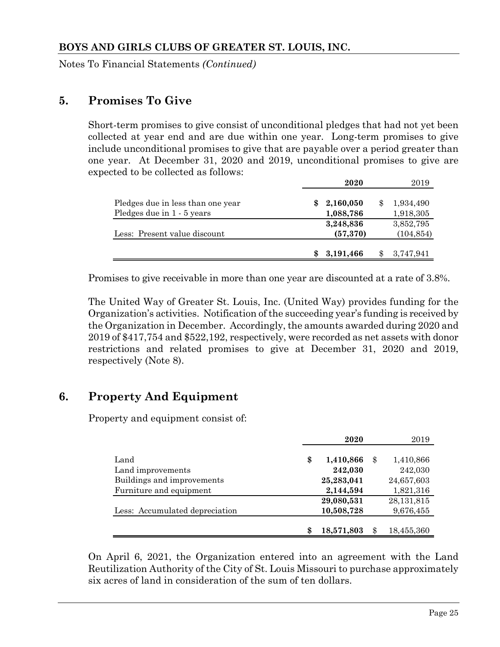Notes To Financial Statements *(Continued)*

## **5. Promises To Give**

Short-term promises to give consist of unconditional pledges that had not yet been collected at year end and are due within one year. Long-term promises to give include unconditional promises to give that are payable over a period greater than one year. At December 31, 2020 and 2019, unconditional promises to give are expected to be collected as follows:

|                                   | 2020      | 2019       |
|-----------------------------------|-----------|------------|
| Pledges due in less than one year | 2,160,050 | 1,934,490  |
| Pledges due in 1 - 5 years        | 1,088,786 | 1,918,305  |
|                                   | 3,248,836 | 3,852,795  |
| Less: Present value discount      | (57,370)  | (104, 854) |
|                                   | 3,191,466 | 3,747,941  |

Promises to give receivable in more than one year are discounted at a rate of 3.8%.

The United Way of Greater St. Louis, Inc. (United Way) provides funding for the Organization's activities. Notification of the succeeding year's funding is received by the Organization in December. Accordingly, the amounts awarded during 2020 and 2019 of \$417,754 and \$522,192, respectively, were recorded as net assets with donor restrictions and related promises to give at December 31, 2020 and 2019, respectively (Note 8).

# **6. Property And Equipment**

Property and equipment consist of:

|                                | 2020             |    | 2019       |
|--------------------------------|------------------|----|------------|
|                                |                  |    |            |
| Land                           | \$<br>1,410,866  | \$ | 1,410,866  |
| Land improvements              | 242,030          |    | 242,030    |
| Buildings and improvements     | 25,283,041       |    | 24,657,603 |
| Furniture and equipment        | 2,144,594        |    | 1,821,316  |
|                                | 29,080,531       |    | 28,131,815 |
| Less: Accumulated depreciation | 10,508,728       |    | 9,676,455  |
|                                |                  |    |            |
|                                | \$<br>18,571,803 | ደ  | 18,455,360 |

On April 6, 2021, the Organization entered into an agreement with the Land Reutilization Authority of the City of St. Louis Missouri to purchase approximately six acres of land in consideration of the sum of ten dollars.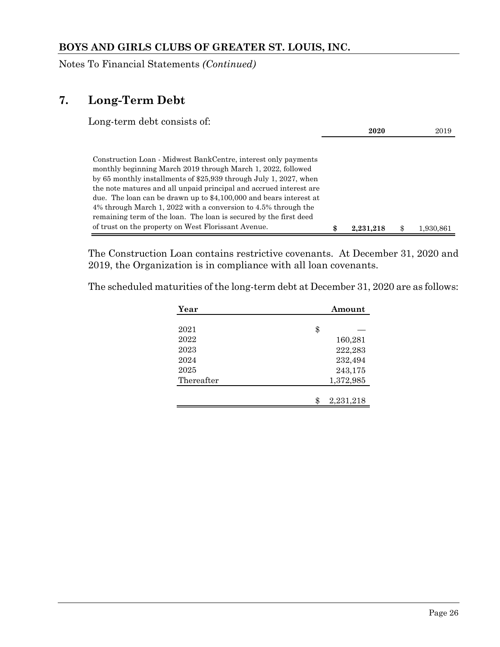Notes To Financial Statements *(Continued)*

# **7. Long-Term Debt**

Long-term debt consists of:

|                                                                                                                                         | 2020            | 2019            |
|-----------------------------------------------------------------------------------------------------------------------------------------|-----------------|-----------------|
|                                                                                                                                         |                 |                 |
| Construction Loan - Midwest BankCentre, interest only payments<br>monthly beginning March 2019 through March 1, 2022, followed          |                 |                 |
| by 65 monthly installments of \$25,939 through July 1, 2027, when<br>the note matures and all unpaid principal and accrued interest are |                 |                 |
| due. The loan can be drawn up to $$4,100,000$ and bears interest at                                                                     |                 |                 |
| 4% through March 1, 2022 with a conversion to 4.5% through the                                                                          |                 |                 |
| remaining term of the loan. The loan is secured by the first deed                                                                       |                 |                 |
| of trust on the property on West Florissant Avenue.                                                                                     | \$<br>2.231.218 | \$<br>1,930,861 |

The Construction Loan contains restrictive covenants. At December 31, 2020 and 2019, the Organization is in compliance with all loan covenants.

The scheduled maturities of the long-term debt at December 31, 2020 are as follows:

| Year       | Amount          |
|------------|-----------------|
|            |                 |
| 2021       | \$              |
| 2022       | 160,281         |
| 2023       | 222,283         |
| 2024       | 232,494         |
| 2025       | 243,175         |
| Thereafter | 1,372,985       |
|            |                 |
|            | \$<br>2,231,218 |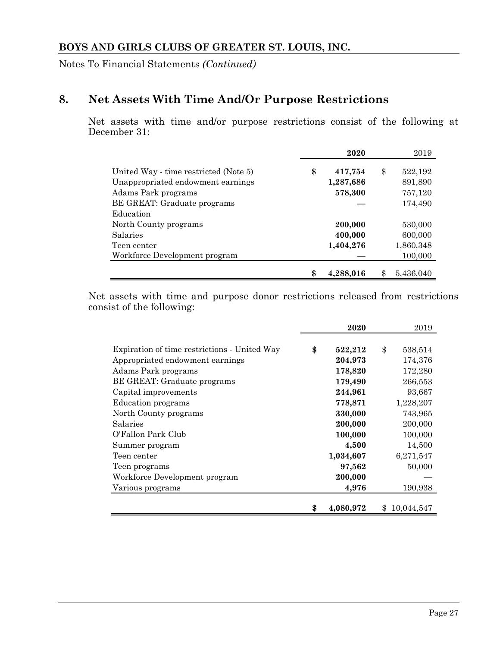Notes To Financial Statements *(Continued)*

# **8. Net Assets With Time And/Or Purpose Restrictions**

Net assets with time and/or purpose restrictions consist of the following at December 31:

|                                       | 2020            | 2019            |
|---------------------------------------|-----------------|-----------------|
| United Way - time restricted (Note 5) | \$<br>417,754   | \$<br>522,192   |
| Unappropriated endowment earnings     | 1,287,686       | 891,890         |
| Adams Park programs                   | 578,300         | 757,120         |
| BE GREAT: Graduate programs           |                 | 174,490         |
| Education                             |                 |                 |
| North County programs                 | 200,000         | 530,000         |
| Salaries                              | 400,000         | 600,000         |
| Teen center                           | 1,404,276       | 1,860,348       |
| Workforce Development program         |                 | 100,000         |
|                                       | \$<br>4,288,016 | \$<br>5,436,040 |

Net assets with time and purpose donor restrictions released from restrictions consist of the following:

|                                              | 2020            | 2019             |
|----------------------------------------------|-----------------|------------------|
|                                              |                 |                  |
| Expiration of time restrictions - United Way | \$<br>522,212   | \$<br>538,514    |
| Appropriated endowment earnings              | 204,973         | 174,376          |
| Adams Park programs                          | 178,820         | 172,280          |
| BE GREAT: Graduate programs                  | 179,490         | 266,553          |
| Capital improvements                         | 244,961         | 93,667           |
| Education programs                           | 778,871         | 1,228,207        |
| North County programs                        | 330,000         | 743,965          |
| Salaries                                     | 200,000         | 200,000          |
| O'Fallon Park Club                           | 100,000         | 100,000          |
| Summer program                               | 4,500           | 14,500           |
| Teen center                                  | 1,034,607       | 6,271,547        |
| Teen programs                                | 97,562          | 50,000           |
| Workforce Development program                | 200,000         |                  |
| Various programs                             | 4,976           | 190,938          |
|                                              |                 |                  |
|                                              | \$<br>4,080,972 | \$<br>10,044,547 |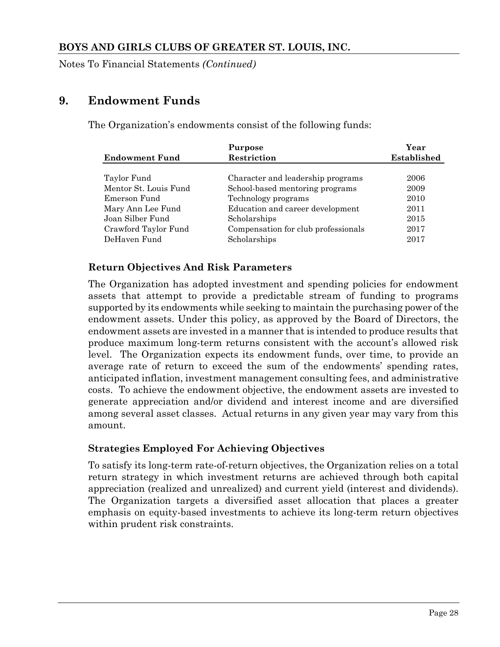Notes To Financial Statements *(Continued)*

## **9. Endowment Funds**

The Organization's endowments consist of the following funds:

|                       | Purpose                             | Year        |
|-----------------------|-------------------------------------|-------------|
| <b>Endowment Fund</b> | Restriction                         | Established |
|                       |                                     |             |
| Taylor Fund           | Character and leadership programs   | 2006        |
| Mentor St. Louis Fund | School-based mentoring programs     | 2009        |
| Emerson Fund          | Technology programs                 | 2010        |
| Mary Ann Lee Fund     | Education and career development    | 2011        |
| Joan Silber Fund      | Scholarships                        | 2015        |
| Crawford Taylor Fund  | Compensation for club professionals | 2017        |
| DeHaven Fund          | Scholarships                        | 2017        |

#### **Return Objectives And Risk Parameters**

The Organization has adopted investment and spending policies for endowment assets that attempt to provide a predictable stream of funding to programs supported by its endowments while seeking to maintain the purchasing power of the endowment assets. Under this policy, as approved by the Board of Directors, the endowment assets are invested in a manner that is intended to produce results that produce maximum long-term returns consistent with the account's allowed risk level. The Organization expects its endowment funds, over time, to provide an average rate of return to exceed the sum of the endowments' spending rates, anticipated inflation, investment management consulting fees, and administrative costs. To achieve the endowment objective, the endowment assets are invested to generate appreciation and/or dividend and interest income and are diversified among several asset classes. Actual returns in any given year may vary from this amount.

#### **Strategies Employed For Achieving Objectives**

To satisfy its long-term rate-of-return objectives, the Organization relies on a total return strategy in which investment returns are achieved through both capital appreciation (realized and unrealized) and current yield (interest and dividends). The Organization targets a diversified asset allocation that places a greater emphasis on equity-based investments to achieve its long-term return objectives within prudent risk constraints.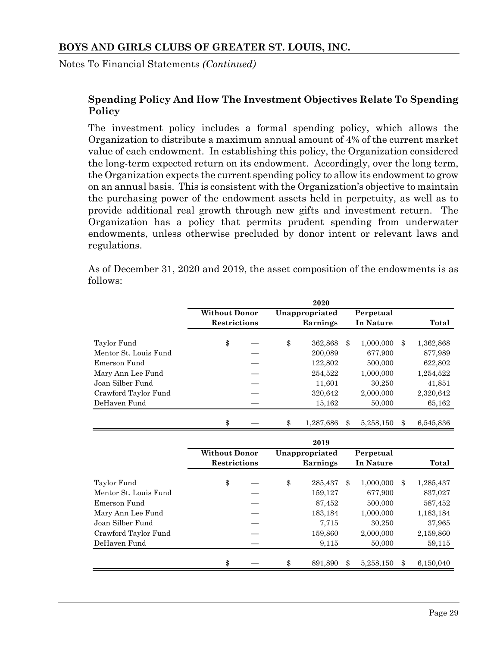Notes To Financial Statements *(Continued)*

## **Spending Policy And How The Investment Objectives Relate To Spending Policy**

The investment policy includes a formal spending policy, which allows the Organization to distribute a maximum annual amount of 4% of the current market value of each endowment. In establishing this policy, the Organization considered the long-term expected return on its endowment. Accordingly, over the long term, the Organization expects the current spending policy to allow its endowment to grow on an annual basis. This is consistent with the Organization's objective to maintain the purchasing power of the endowment assets held in perpetuity, as well as to provide additional real growth through new gifts and investment return. The Organization has a policy that permits prudent spending from underwater endowments, unless otherwise precluded by donor intent or relevant laws and regulations.

As of December 31, 2020 and 2019, the asset composition of the endowments is as follows:

|                       |                      |    | 2020           |                 |                 |
|-----------------------|----------------------|----|----------------|-----------------|-----------------|
|                       | <b>Without Donor</b> |    | Unappropriated | Perpetual       |                 |
|                       | <b>Restrictions</b>  |    | Earnings       | In Nature       | Total           |
|                       |                      |    |                |                 |                 |
| Taylor Fund           | \$                   | \$ | 362,868        | \$<br>1,000,000 | \$<br>1,362,868 |
| Mentor St. Louis Fund |                      |    | 200,089        | 677.900         | 877,989         |
| Emerson Fund          |                      |    | 122,802        | 500,000         | 622,802         |
| Mary Ann Lee Fund     |                      |    | 254,522        | 1,000,000       | 1,254,522       |
| Joan Silber Fund      |                      |    | 11,601         | 30,250          | 41,851          |
| Crawford Taylor Fund  |                      |    | 320,642        | 2,000,000       | 2,320,642       |
| DeHaven Fund          |                      |    | 15,162         | 50,000          | 65,162          |
|                       |                      |    |                |                 |                 |
|                       | \$                   | \$ | 1.287.686      | \$<br>5.258.150 | \$<br>6.545.836 |

|                       |                                             |  |                            | 2019    |           |           |    |           |  |
|-----------------------|---------------------------------------------|--|----------------------------|---------|-----------|-----------|----|-----------|--|
|                       | <b>Without Donor</b><br><b>Restrictions</b> |  | Unappropriated<br>Earnings |         |           | Perpetual |    |           |  |
|                       |                                             |  |                            |         | In Nature |           |    | Total     |  |
| Taylor Fund           | \$                                          |  | \$                         | 285,437 | \$        | 1,000,000 | \$ | 1,285,437 |  |
| Mentor St. Louis Fund |                                             |  |                            | 159,127 |           | 677,900   |    | 837,027   |  |
| Emerson Fund          |                                             |  |                            | 87,452  |           | 500,000   |    | 587,452   |  |
| Mary Ann Lee Fund     |                                             |  |                            | 183,184 |           | 1,000,000 |    | 1,183,184 |  |
| Joan Silber Fund      |                                             |  |                            | 7.715   |           | 30.250    |    | 37,965    |  |
| Crawford Taylor Fund  |                                             |  |                            | 159,860 |           | 2,000,000 |    | 2,159,860 |  |
| DeHaven Fund          |                                             |  |                            | 9,115   |           | 50,000    |    | 59,115    |  |
|                       |                                             |  |                            |         |           |           |    |           |  |
|                       | $\mathcal{S}$                               |  | \$                         | 891,890 | $\Re$     | 5,258,150 | \$ | 6,150,040 |  |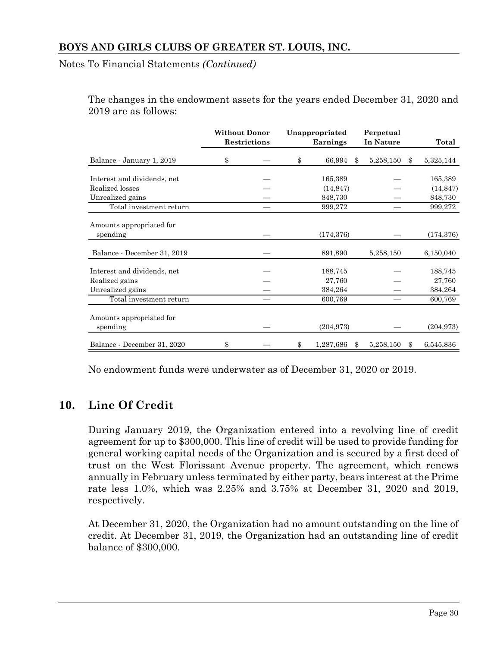Notes To Financial Statements *(Continued)*

The changes in the endowment assets for the years ended December 31, 2020 and 2019 are as follows:

|                                      | <b>Without Donor</b> | <b>Restrictions</b> | Unappropriated<br>Earnings | Perpetual<br>In Nature |     | Total      |
|--------------------------------------|----------------------|---------------------|----------------------------|------------------------|-----|------------|
| Balance - January 1, 2019            | \$                   |                     | \$<br>66,994               | 5,258,150<br>\$        | \$  | 5,325,144  |
| Interest and dividends, net          |                      |                     | 165,389                    |                        |     | 165,389    |
| Realized losses                      |                      |                     | (14, 847)                  |                        |     | (14, 847)  |
| Unrealized gains                     |                      |                     | 848,730                    |                        |     | 848,730    |
| Total investment return              |                      |                     | 999,272                    |                        |     | 999,272    |
| Amounts appropriated for             |                      |                     |                            |                        |     |            |
| spending                             |                      |                     | (174, 376)                 |                        |     | (174, 376) |
| Balance - December 31, 2019          |                      |                     | 891,890                    | 5,258,150              |     | 6,150,040  |
| Interest and dividends, net          |                      |                     | 188,745                    |                        |     | 188,745    |
| Realized gains                       |                      |                     | 27,760                     |                        |     | 27,760     |
| Unrealized gains                     |                      |                     | 384,264                    |                        |     | 384,264    |
| Total investment return              |                      |                     | 600,769                    |                        |     | 600,769    |
| Amounts appropriated for<br>spending |                      |                     | (204, 973)                 |                        |     | (204, 973) |
| Balance - December 31, 2020          | \$                   |                     | \$<br>1,287,686            | 5,258,150<br>\$        | \$. | 6,545,836  |

No endowment funds were underwater as of December 31, 2020 or 2019.

# **10. Line Of Credit**

During January 2019, the Organization entered into a revolving line of credit agreement for up to \$300,000. This line of credit will be used to provide funding for general working capital needs of the Organization and is secured by a first deed of trust on the West Florissant Avenue property. The agreement, which renews annually in February unless terminated by either party, bears interest at the Prime rate less 1.0%, which was 2.25% and 3.75% at December 31, 2020 and 2019, respectively.

At December 31, 2020, the Organization had no amount outstanding on the line of credit. At December 31, 2019, the Organization had an outstanding line of credit balance of \$300,000.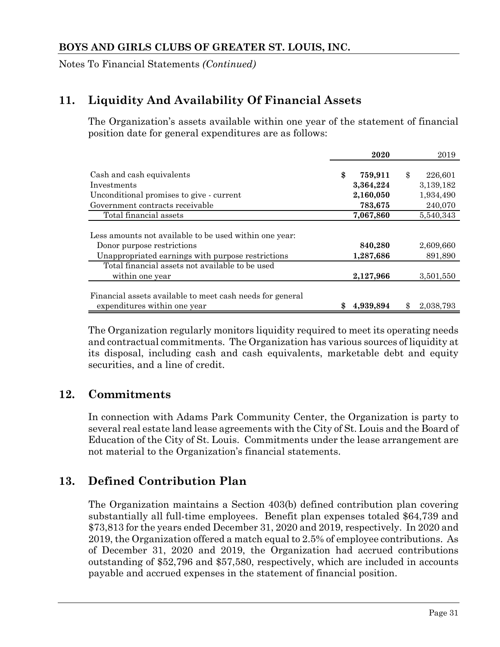Notes To Financial Statements *(Continued)*

# **11. Liquidity And Availability Of Financial Assets**

The Organization's assets available within one year of the statement of financial position date for general expenditures are as follows:

|                                                           | 2020            | 2019            |
|-----------------------------------------------------------|-----------------|-----------------|
|                                                           |                 |                 |
| Cash and cash equivalents                                 | \$<br>759,911   | \$<br>226,601   |
| Investments                                               | 3,364,224       | 3,139,182       |
| Unconditional promises to give - current                  | 2,160,050       | 1,934,490       |
| Government contracts receivable                           | 783,675         | 240,070         |
| Total financial assets                                    | 7,067,860       | 5,540,343       |
|                                                           |                 |                 |
| Less amounts not available to be used within one year:    |                 |                 |
| Donor purpose restrictions                                | 840,280         | 2,609,660       |
| Unappropriated earnings with purpose restrictions         | 1,287,686       | 891,890         |
| Total financial assets not available to be used           |                 |                 |
| within one year                                           | 2,127,966       | 3,501,550       |
|                                                           |                 |                 |
| Financial assets available to meet cash needs for general |                 |                 |
| expenditures within one year                              | \$<br>4,939,894 | \$<br>2,038,793 |

The Organization regularly monitors liquidity required to meet its operating needs and contractual commitments. The Organization has various sources of liquidity at its disposal, including cash and cash equivalents, marketable debt and equity securities, and a line of credit.

# **12. Commitments**

In connection with Adams Park Community Center, the Organization is party to several real estate land lease agreements with the City of St. Louis and the Board of Education of the City of St. Louis. Commitments under the lease arrangement are not material to the Organization's financial statements.

# **13. Defined Contribution Plan**

The Organization maintains a Section 403(b) defined contribution plan covering substantially all full-time employees. Benefit plan expenses totaled \$64,739 and \$73,813 for the years ended December 31, 2020 and 2019, respectively. In 2020 and 2019, the Organization offered a match equal to 2.5% of employee contributions. As of December 31, 2020 and 2019, the Organization had accrued contributions outstanding of \$52,796 and \$57,580, respectively, which are included in accounts payable and accrued expenses in the statement of financial position.